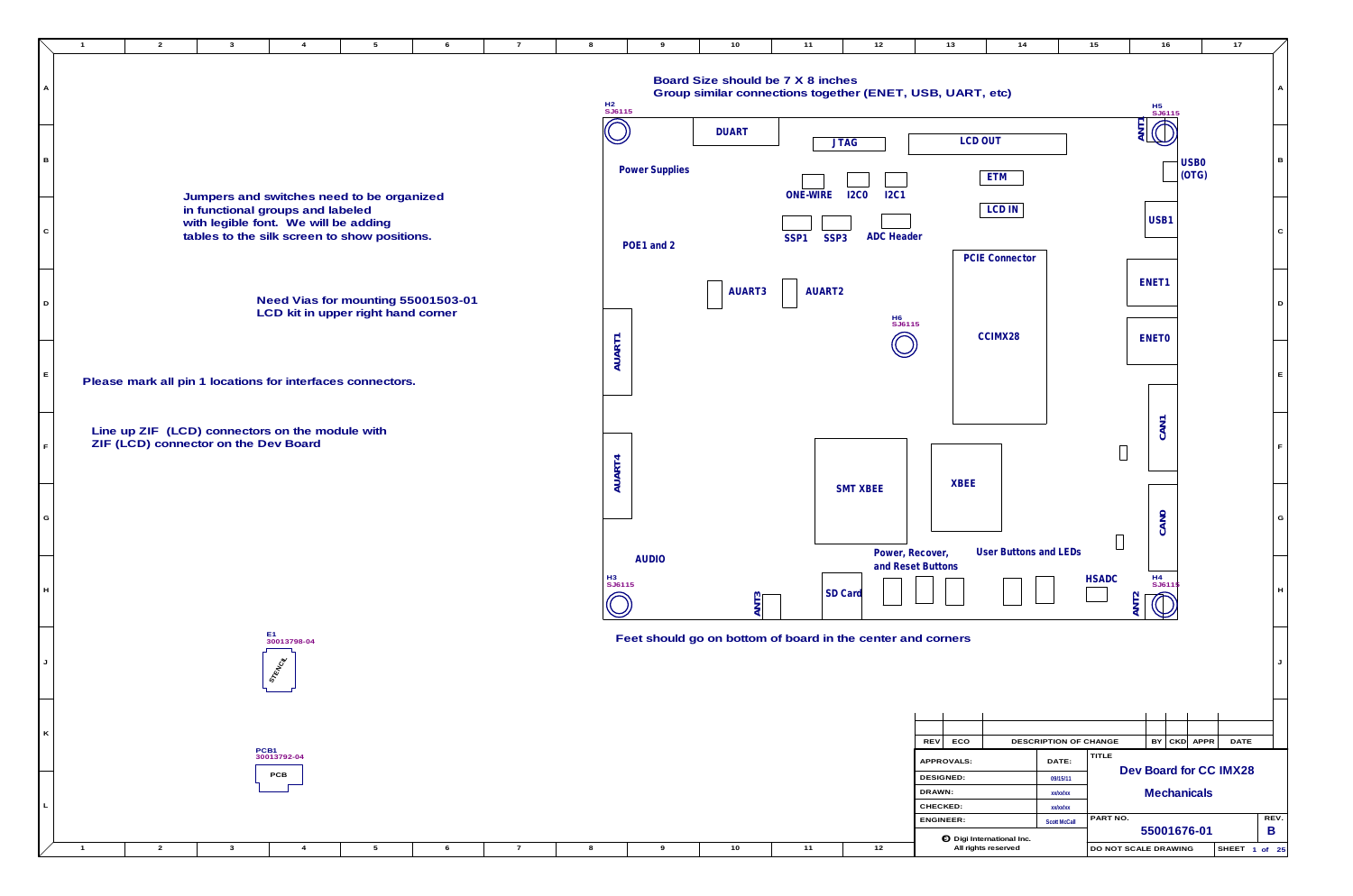|  |  |  |  |  |  | CJ Digi International Inc. |                                  |
|--|--|--|--|--|--|----------------------------|----------------------------------|
|  |  |  |  |  |  | All rights reserveo        | <b>DO NOT SCALE DRAWING</b><br>◡ |

**L**

|             | $\overline{2}$<br>$\mathbf{3}$<br>$5^{\circ}$<br>6<br>$\overline{4}$                                                                                                  | $\overline{7}$<br>-8 | 9                     | 10                                                                                             | 11                                   | 12                         | 13                                                  | 14                           | 15                                                         | 16                                   |
|-------------|-----------------------------------------------------------------------------------------------------------------------------------------------------------------------|----------------------|-----------------------|------------------------------------------------------------------------------------------------|--------------------------------------|----------------------------|-----------------------------------------------------|------------------------------|------------------------------------------------------------|--------------------------------------|
|             |                                                                                                                                                                       | H2<br>SJ6115         |                       | Board Size should be 7 X 8 inches<br>Group similar connections together (ENET, USB, UART, etc) |                                      |                            |                                                     |                              |                                                            |                                      |
|             |                                                                                                                                                                       |                      |                       | <b>DUART</b>                                                                                   |                                      | <b>JTAG</b>                | <b>LCD OUT</b>                                      |                              |                                                            | ANTI SUST                            |
| B           |                                                                                                                                                                       |                      | <b>Power Supplies</b> |                                                                                                | <b>ONE-WIRE</b>                      | <b>I2C0</b><br><b>I2C1</b> |                                                     | <b>ETM</b>                   |                                                            |                                      |
| $\mathbf C$ | Jumpers and switches need to be organized<br>in functional groups and labeled<br>with legible font. We will be adding<br>tables to the silk screen to show positions. |                      |                       |                                                                                                | SSP <sub>3</sub><br>SSP <sub>1</sub> | <b>ADC</b> Header          |                                                     | <b>LCD IN</b>                |                                                            | <b>USB</b>                           |
|             |                                                                                                                                                                       |                      | POE1 and 2            |                                                                                                |                                      |                            |                                                     | <b>PCIE Connector</b>        |                                                            | ENET1                                |
| D           | Need Vias for mounting 55001503-01<br>LCD kit in upper right hand corner                                                                                              |                      |                       | AUART3                                                                                         | AUART2                               | H6<br>SJ6115               |                                                     |                              |                                                            |                                      |
|             |                                                                                                                                                                       | AUART1               |                       |                                                                                                |                                      |                            |                                                     | CCIMX28                      |                                                            | <b>ENETO</b>                         |
| Е           | Please mark all pin 1 locations for interfaces connectors.                                                                                                            |                      |                       |                                                                                                |                                      |                            |                                                     |                              |                                                            |                                      |
|             | Line up ZIF (LCD) connectors on the module with<br>ZIF (LCD) connector on the Dev Board                                                                               |                      |                       |                                                                                                |                                      |                            |                                                     |                              |                                                            | CAN1                                 |
| G           |                                                                                                                                                                       | AUART4               |                       |                                                                                                |                                      | <b>SMT XBEE</b>            | <b>XBEE</b>                                         |                              |                                                            |                                      |
|             |                                                                                                                                                                       |                      | <b>AUDIO</b>          |                                                                                                |                                      |                            | Power, Recover,<br>and Reset Buttons                | <b>User Buttons and LEDs</b> |                                                            | <b>CANO</b>                          |
| H           |                                                                                                                                                                       | H3<br>SJ6115         |                       | ANT <sub>3</sub>                                                                               | <b>SD</b> Card                       |                            |                                                     |                              | <b>HSADC</b>                                               | H4<br>SJ61<br>ANT2                   |
|             | E1<br>30013798-04<br><b>STRINGS</b>                                                                                                                                   |                      |                       | Feet should go on bottom of board in the center and corners                                    |                                      |                            |                                                     |                              |                                                            |                                      |
| K           |                                                                                                                                                                       |                      |                       |                                                                                                |                                      |                            |                                                     |                              |                                                            |                                      |
|             | PCB1<br>30013792-04<br>PCB                                                                                                                                            |                      |                       |                                                                                                |                                      |                            | <b>REV</b><br>ECO<br>APPROVALS:<br><b>DESIGNED:</b> |                              | DESCRIPTION OF CHANGE<br><b>TITLE</b><br>DATE:<br>09/15/11 | BY<br><b>Dev Boar</b><br>$M_{\odot}$ |

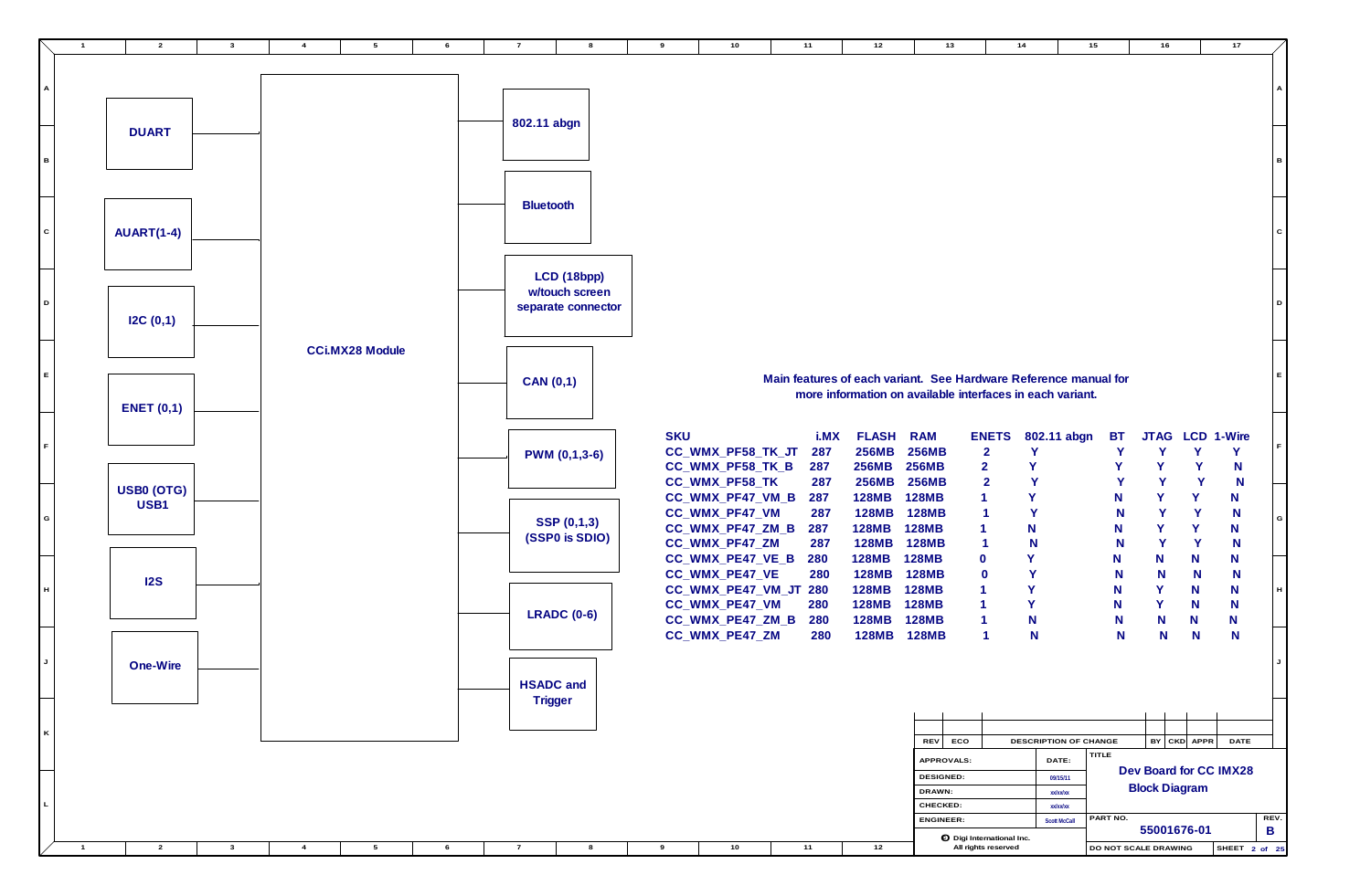

| 10                                                                              | 11                              | 12                                                                                                                            |                                                                              | 13  | 14                                                    |                       |                                           | 15                       |                       | 16 |                       | 17                             |           |                           |
|---------------------------------------------------------------------------------|---------------------------------|-------------------------------------------------------------------------------------------------------------------------------|------------------------------------------------------------------------------|-----|-------------------------------------------------------|-----------------------|-------------------------------------------|--------------------------|-----------------------|----|-----------------------|--------------------------------|-----------|---------------------------|
|                                                                                 |                                 |                                                                                                                               |                                                                              |     |                                                       |                       |                                           |                          |                       |    |                       |                                |           | Α                         |
|                                                                                 |                                 |                                                                                                                               |                                                                              |     |                                                       |                       |                                           |                          |                       |    |                       |                                |           | В                         |
|                                                                                 |                                 |                                                                                                                               |                                                                              |     |                                                       |                       |                                           |                          |                       |    |                       |                                |           | $\mathbf C$               |
|                                                                                 |                                 |                                                                                                                               |                                                                              |     |                                                       |                       |                                           |                          |                       |    |                       |                                |           | D                         |
|                                                                                 |                                 | Main features of each variant. See Hardware Reference manual for<br>more information on available interfaces in each variant. |                                                                              |     |                                                       |                       |                                           |                          |                       |    |                       |                                |           | E                         |
| PF58_TK_JT<br>PF58_TK_B                                                         | i.MX<br>287<br>287<br>287       | <b>FLASH</b><br>256MB<br><b>256MB</b><br><b>256MB</b>                                                                         | <b>RAM</b><br><b>256MB</b><br><b>256MB</b><br><b>256MB</b>                   |     | <b>ENETS</b><br>$\overline{2}$<br>$\overline{2}$<br>2 | Y<br>Υ<br>Y           | 802.11 abgn                               | <b>BT</b><br>Y<br>Y<br>Y | Υ<br>Ÿ                | Y  | Y<br>Y<br>Y           | JTAG LCD 1-Wire<br>Y<br>N<br>N |           | F                         |
| PF58_TK<br>PF47_VM_B<br>PF47_VM<br>PF47_ZM_B<br>PF47_ZM                         | 287<br>287<br>287<br>287        | <b>128MB</b><br><b>128MB</b><br><b>128MB</b><br><b>128MB</b>                                                                  | <b>128MB</b><br><b>128MB</b><br><b>128MB</b><br><b>128MB</b>                 |     | 1<br>1<br>1<br>1                                      | Υ<br>Y<br>N<br>N      |                                           | N<br>N<br>N<br>N         | Y<br>Y<br>Y<br>Y      |    | Υ<br>Y<br>Y<br>Y      | N<br>N<br>N<br>N               |           | G                         |
| <b>PE47_VE_B</b><br>PE47_VE<br><b>PE47_VM_JT</b><br>PE47_VM<br><b>PE47_ZM_B</b> | 280<br>280<br>280<br>280<br>280 | <b>128MB</b><br><b>128MB</b><br><b>128MB</b><br><b>128MB</b><br><b>128MB</b>                                                  | <b>128MB</b><br><b>128MB</b><br><b>128MB</b><br><b>128MB</b><br><b>128MB</b> |     | 0<br>0<br>1<br>1<br>1                                 | Y<br>Y<br>Y<br>Y<br>N |                                           | N<br>N<br>N<br>N<br>N    | N<br>N<br>Y<br>Y<br>N |    | N<br>N<br>N<br>N<br>N | N<br>N<br>N<br>N<br>N          |           | $\boldsymbol{\mathsf{H}}$ |
| PE47_ZM                                                                         | 280                             | <b>128MB</b>                                                                                                                  | <b>128MB</b>                                                                 |     | 1                                                     | N                     |                                           | N                        | N                     |    | N                     | N                              |           | J                         |
|                                                                                 |                                 |                                                                                                                               | <b>REV</b>                                                                   | ECO |                                                       |                       |                                           | DESCRIPTION OF CHANGE    | BY                    |    | CKD APPR              | <b>DATE</b>                    |           |                           |
|                                                                                 |                                 |                                                                                                                               | APPROVALS:<br>DESIGNED:<br>DRAWN:<br>CHECKED:                                |     |                                                       |                       | DATE:<br>09/15/11<br>xx/xx/xx<br>xx/xx/xx | <b>TITLE</b>             | <b>Block Diagram</b>  |    |                       | Dev Board for CC IMX28         |           |                           |
|                                                                                 |                                 |                                                                                                                               | <b>ENGINEER:</b>                                                             |     | igo Digi International Inc.                           |                       | <b>Scott McCall</b>                       | PART NO.                 |                       |    | 55001676-01           |                                | REV.<br>B |                           |
| 10                                                                              | 11                              | 12                                                                                                                            |                                                                              |     | All rights reserved                                   |                       |                                           | DO NOT SCALE DRAWING     |                       |    |                       | SHEET 2 of 25                  |           |                           |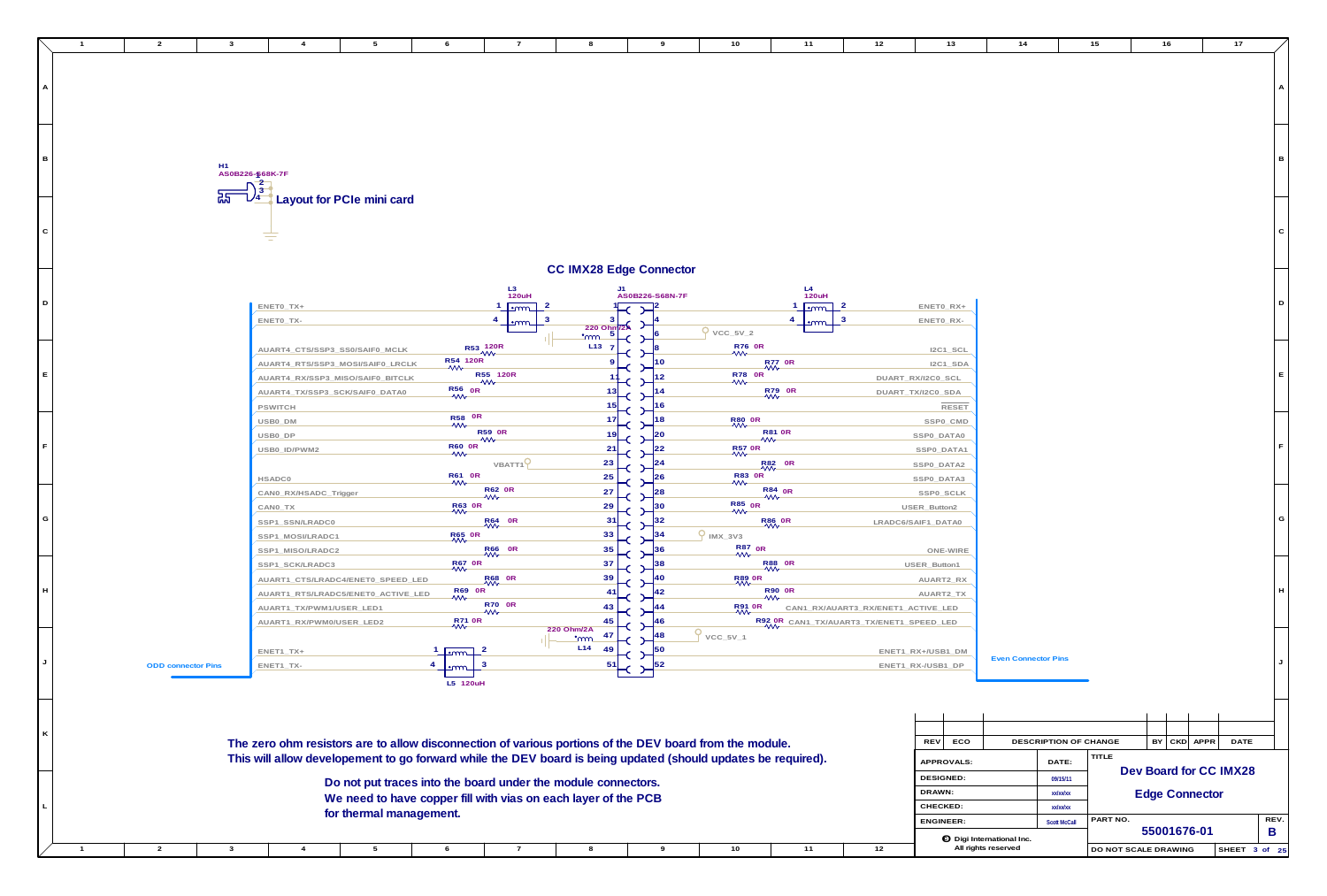**A**

**G**

**E**

**B**

**F**

**C**

**D**

**L**

**K**

**J**

**H**

| $\overline{2}$<br>$\mathbf{3}$ |                                      | $\overline{4}$                         | $5\overline{)}$                                                | 6                                     | $\overline{7}$                      | 8                        | 9                              | 10                                                                                                            | 11            | 12                                       | 13                      | 14                               | 15                              | 16                     | 17            |              |
|--------------------------------|--------------------------------------|----------------------------------------|----------------------------------------------------------------|---------------------------------------|-------------------------------------|--------------------------|--------------------------------|---------------------------------------------------------------------------------------------------------------|---------------|------------------------------------------|-------------------------|----------------------------------|---------------------------------|------------------------|---------------|--------------|
|                                |                                      |                                        |                                                                |                                       |                                     |                          |                                |                                                                                                               |               |                                          |                         |                                  |                                 |                        |               |              |
|                                |                                      |                                        |                                                                |                                       |                                     |                          |                                |                                                                                                               |               |                                          |                         |                                  |                                 |                        |               |              |
|                                |                                      |                                        |                                                                |                                       |                                     |                          |                                |                                                                                                               |               |                                          |                         |                                  |                                 |                        |               |              |
|                                |                                      |                                        |                                                                |                                       |                                     |                          |                                |                                                                                                               |               |                                          |                         |                                  |                                 |                        |               |              |
|                                |                                      |                                        |                                                                |                                       |                                     |                          |                                |                                                                                                               |               |                                          |                         |                                  |                                 |                        |               |              |
|                                |                                      |                                        |                                                                |                                       |                                     |                          |                                |                                                                                                               |               |                                          |                         |                                  |                                 |                        |               |              |
|                                |                                      |                                        |                                                                |                                       |                                     |                          |                                |                                                                                                               |               |                                          |                         |                                  |                                 |                        |               | - B          |
|                                | H1<br>AS0B226- <mark>န</mark> 68K-7F |                                        |                                                                |                                       |                                     |                          |                                |                                                                                                               |               |                                          |                         |                                  |                                 |                        |               |              |
|                                |                                      |                                        |                                                                |                                       |                                     |                          |                                |                                                                                                               |               |                                          |                         |                                  |                                 |                        |               |              |
|                                |                                      |                                        | Layout for PCIe mini card                                      |                                       |                                     |                          |                                |                                                                                                               |               |                                          |                         |                                  |                                 |                        |               |              |
|                                |                                      |                                        |                                                                |                                       |                                     |                          |                                |                                                                                                               |               |                                          |                         |                                  |                                 |                        |               |              |
|                                |                                      | $\equiv$                               |                                                                |                                       |                                     |                          |                                |                                                                                                               |               |                                          |                         |                                  |                                 |                        |               | $\mathsf{C}$ |
|                                |                                      |                                        |                                                                |                                       |                                     |                          |                                |                                                                                                               |               |                                          |                         |                                  |                                 |                        |               |              |
|                                |                                      |                                        |                                                                |                                       |                                     |                          | <b>CC IMX28 Edge Connector</b> |                                                                                                               |               |                                          |                         |                                  |                                 |                        |               |              |
|                                |                                      |                                        |                                                                |                                       |                                     |                          | J1                             |                                                                                                               |               |                                          |                         |                                  |                                 |                        |               |              |
|                                |                                      |                                        |                                                                |                                       | $L3$<br>120uH                       |                          | AS0B226-S68N-7F                |                                                                                                               | $L4$<br>120uH |                                          |                         |                                  |                                 |                        |               | D            |
|                                |                                      | $ENETO_TX+$<br>ENETO_TX-               |                                                                |                                       | <u>⊥•mm</u><br>$\overline{4}$       |                          |                                |                                                                                                               | $\sqrt{2}$    |                                          | ENETO_RX+<br>ENETO_RX-  |                                  |                                 |                        |               |              |
|                                |                                      |                                        |                                                                |                                       |                                     | 220 Ohm/2A<br><u>_mm</u> |                                | $9 \text{vcc}_{5V_{2}}$                                                                                       |               |                                          |                         |                                  |                                 |                        |               |              |
|                                |                                      | AUART4_CTS/SSP3_SS0/SAIF0_MCLK         |                                                                | R53 120R                              |                                     | L <sub>13</sub>          |                                | R76 OR<br>Wy                                                                                                  |               |                                          | $IC1$ _SCL              |                                  |                                 |                        |               |              |
|                                |                                      |                                        | AUART4_RTS/SSP3_MOSI/SAIF0_LRCLK                               | R54 120R                              |                                     |                          |                                | R77 OR                                                                                                        |               |                                          | $IC1$ _SDA              |                                  |                                 |                        |               |              |
|                                |                                      |                                        | AUART4_RX/SSP3_MISO/SAIF0_BITCLK                               |                                       | R55 120R                            |                          |                                | R78 OR<br>VVV                                                                                                 |               |                                          | DUART_RX/I2C0_SCL       |                                  |                                 |                        |               |              |
|                                |                                      | AUART4_TX/SSP3_SCK/SAIF0_DATA0         |                                                                | $R56$ OR                              |                                     | -13                      |                                | R79 OR                                                                                                        |               |                                          | DUART_TX/I2C0_SDA       |                                  |                                 |                        |               |              |
|                                |                                      | PSWITCH                                |                                                                |                                       |                                     |                          |                                |                                                                                                               |               |                                          | <b>RESET</b>            |                                  |                                 |                        |               |              |
|                                |                                      | USB0_DM                                |                                                                | R58 OR<br>WV                          |                                     |                          |                                | <b>R80 OR</b>                                                                                                 |               |                                          | SSP0_CMD                |                                  |                                 |                        |               |              |
|                                |                                      | USB0_DP                                |                                                                |                                       | <b>R59 0R</b><br>$\rightsquigarrow$ |                          |                                | <b>R81 0R</b><br>W                                                                                            |               |                                          | SSP0_DATA0              |                                  |                                 |                        |               |              |
|                                |                                      | USB0_ID/PWM2                           |                                                                | R60 OR<br>WV                          |                                     | 21                       |                                | R57 OR                                                                                                        |               |                                          | SSP0_DATA1              |                                  |                                 |                        |               |              |
|                                |                                      |                                        |                                                                | R61 0R                                | VBATT <sub>1</sub> <sup>Q</sup>     | 23                       |                                | R82 OR                                                                                                        |               |                                          | SSPO_DATA2              |                                  |                                 |                        |               |              |
|                                |                                      | <b>HSADC0</b><br>CAN0_RX/HSADC_Trigger |                                                                | $\mathcal{W}$                         | <b>R62 OR</b>                       | 25<br>27                 | $2^{26}$<br> 28                | R83 OR<br>R84 <sub>OR</sub>                                                                                   |               |                                          | SSPO_DATA3<br>SSP0_SCLK |                                  |                                 |                        |               |              |
|                                |                                      | CANO_TX                                |                                                                | R63 OR                                | $\mathcal{W}$                       | 29                       |                                | W<br>R85 <sub>OR</sub>                                                                                        |               |                                          | USER_Button2            |                                  |                                 |                        |               |              |
|                                |                                      | SSP1_SSN/LRADC0                        |                                                                |                                       | R64 0R                              | 31                       |                                | $\mathsf{w}$<br>R <sub>86</sub> OR                                                                            |               |                                          | LRADC6/SAIF1_DATA0      |                                  |                                 |                        |               | G            |
|                                |                                      | SSP1_MOSI/LRADC1                       |                                                                | <b>R65 OR</b>                         |                                     | 33                       |                                | $9$ IMX_3V3                                                                                                   |               |                                          |                         |                                  |                                 |                        |               |              |
|                                |                                      | SSP1_MISO/LRADC2                       |                                                                |                                       | R66 OR<br>VVV                       | 35                       |                                | $\frac{R87}{W}$ OR                                                                                            |               |                                          | ONE-WIRE                |                                  |                                 |                        |               |              |
|                                |                                      | SSP1_SCK/LRADC3                        |                                                                | <b>R67 OR</b>                         |                                     | 37                       |                                | R88 OR                                                                                                        |               |                                          | USER_Button1            |                                  |                                 |                        |               |              |
|                                |                                      |                                        | AUART1_CTS/LRADC4/ENET0_SPEED_LED                              |                                       | R68 OR                              | 39                       |                                | <b>R89 OR</b>                                                                                                 |               |                                          | AUART2_RX               |                                  |                                 |                        |               |              |
|                                |                                      |                                        | AUART1_RTS/LRADC5/ENET0_ACTIVE_LED                             | R69 OR                                |                                     | -41                      |                                | R90 OR<br>MV                                                                                                  |               |                                          | AUART2_TX               |                                  |                                 |                        |               |              |
|                                |                                      | AUART1_TX/PWM1/USER_LED1               |                                                                |                                       | <b>R70 OR</b><br>$\mathsf{w}$       | 43                       |                                | <b>R91 OR</b>                                                                                                 |               | CAN1_RX/AUART3_RX/ENET1_ACTIVE_LED       |                         |                                  |                                 |                        |               |              |
|                                |                                      | AUART1_RX/PWM0/USER_LED2               |                                                                | R71 0R                                |                                     | 45<br>220 Ohm/2A<br>47   |                                |                                                                                                               |               | R92 OR CAN1_TX/AUART3_TX/ENET1_SPEED_LED |                         |                                  |                                 |                        |               |              |
|                                |                                      | ENET1_TX+                              |                                                                |                                       |                                     | <u></u><br>L14<br>49     | 150                            | $VCC_5V_1$                                                                                                    |               |                                          | ENET1_RX+/USB1_DM       |                                  |                                 |                        |               |              |
| <b>ODD</b> connector Pins      |                                      | ENET1_TX-                              |                                                                | $\mathsf{Lmm}$<br>$\mathbf{3}$<br>∙നന |                                     | -51                      |                                |                                                                                                               |               |                                          | ENET1_RX-/USB1_DP       | <b>Even Connector Pins</b>       |                                 |                        |               |              |
|                                |                                      |                                        |                                                                | L5 120uH                              |                                     |                          |                                |                                                                                                               |               |                                          |                         |                                  |                                 |                        |               |              |
|                                |                                      |                                        |                                                                |                                       |                                     |                          |                                |                                                                                                               |               |                                          |                         |                                  |                                 |                        |               |              |
|                                |                                      |                                        |                                                                |                                       |                                     |                          |                                |                                                                                                               |               |                                          |                         |                                  |                                 |                        |               |              |
|                                |                                      |                                        |                                                                |                                       |                                     |                          |                                |                                                                                                               |               |                                          |                         |                                  |                                 |                        |               |              |
|                                |                                      |                                        |                                                                |                                       |                                     |                          |                                | The zero ohm resistors are to allow disconnection of various portions of the DEV board from the module.       |               |                                          | REV ECO                 |                                  | DESCRIPTION OF CHANGE           | $BY$ $CKD$ $APPR$      | <b>DATE</b>   |              |
|                                |                                      |                                        |                                                                |                                       |                                     |                          |                                | This will allow developement to go forward while the DEV board is being updated (should updates be required). |               |                                          | APPROVALS:              |                                  | TITLE<br>DATE:                  |                        |               |              |
|                                |                                      |                                        |                                                                |                                       |                                     |                          |                                |                                                                                                               |               |                                          | DESIGNED:               |                                  | 09/15/11                        | Dev Board for CC IMX28 |               |              |
|                                |                                      |                                        | Do not put traces into the board under the module connectors.  |                                       |                                     |                          |                                |                                                                                                               |               |                                          | DRAWN:                  |                                  | xx/xx/xx                        | <b>Edge Connector</b>  |               |              |
|                                |                                      |                                        | We need to have copper fill with vias on each layer of the PCB |                                       |                                     |                          |                                |                                                                                                               |               |                                          | CHECKED:                |                                  | xx/xx/xx                        |                        |               |              |
|                                |                                      |                                        | for thermal management.                                        |                                       |                                     |                          |                                |                                                                                                               |               |                                          | <b>ENGINEER:</b>        |                                  | PART NO.<br><b>Scott McCall</b> |                        |               | REV.         |
|                                |                                      |                                        |                                                                |                                       |                                     |                          |                                |                                                                                                               |               |                                          |                         | <b>O</b> Digi International Inc. |                                 | 55001676-01            |               | B            |
| 3<br>$\overline{2}$            |                                      | $\boldsymbol{4}$                       | 5                                                              | 6                                     | $\overline{7}$                      | 8                        | 9                              | 10                                                                                                            | 11            | 12                                       |                         | All rights reserved              |                                 | DO NOT SCALE DRAWING   | SHEET 3 of 25 |              |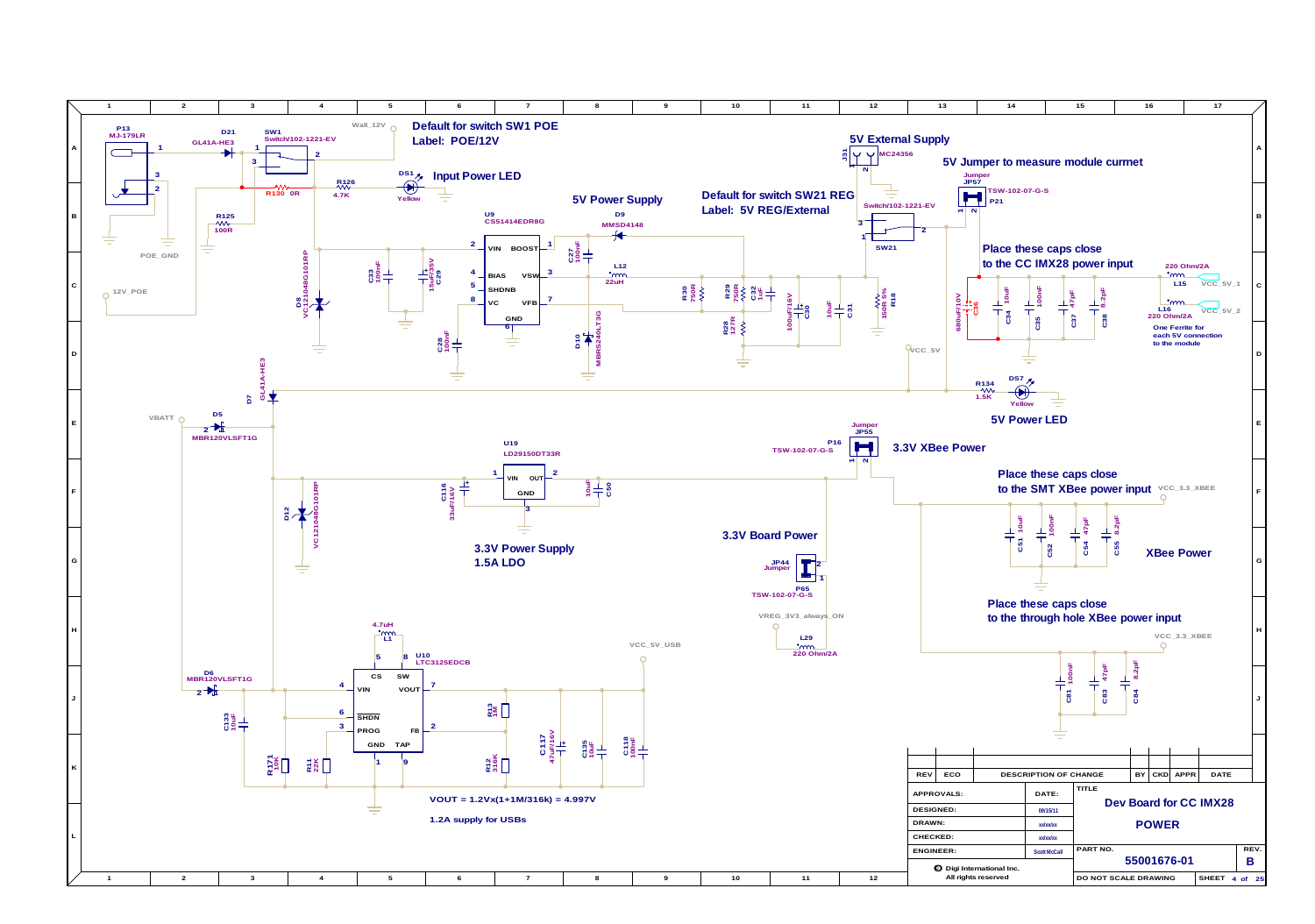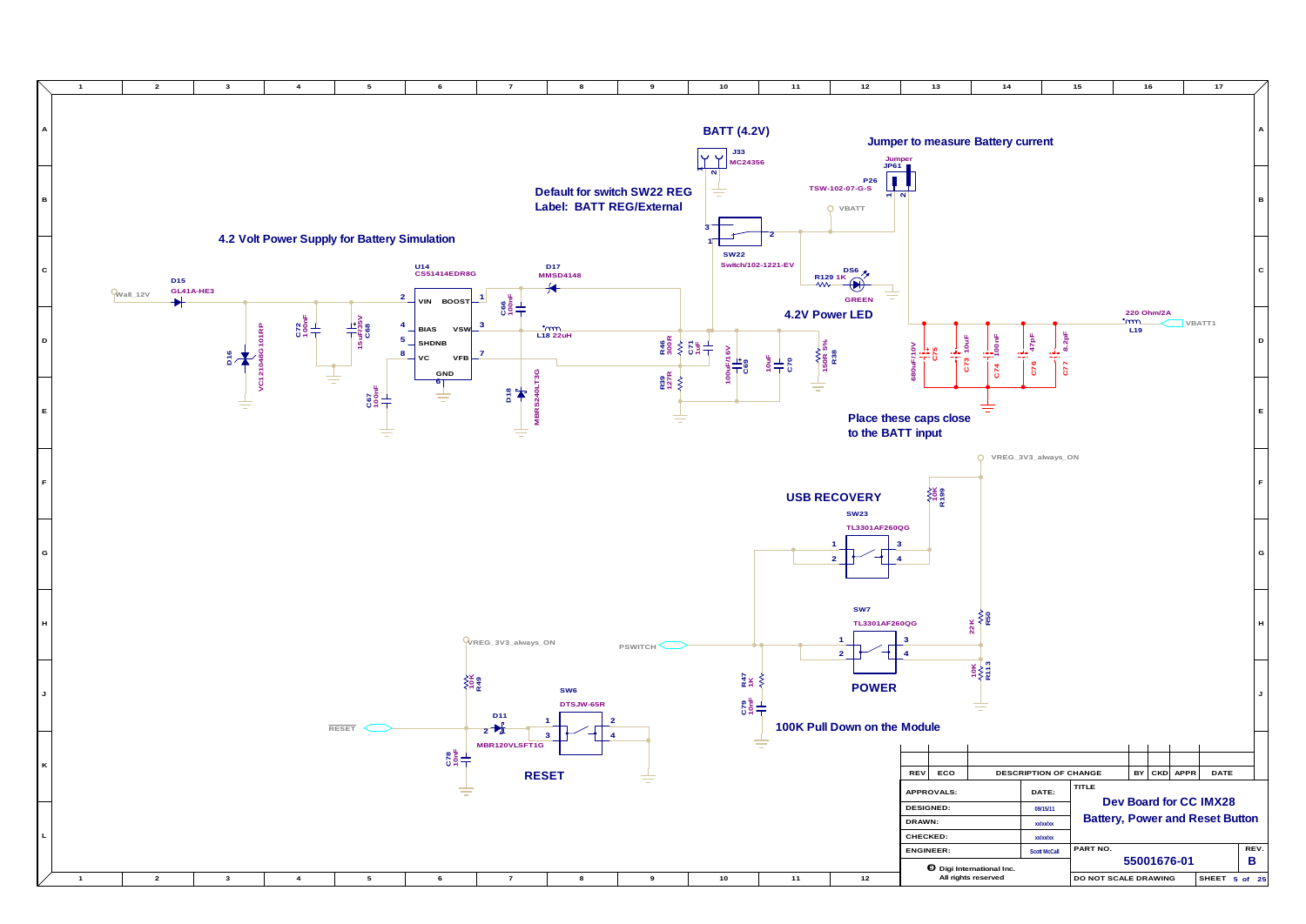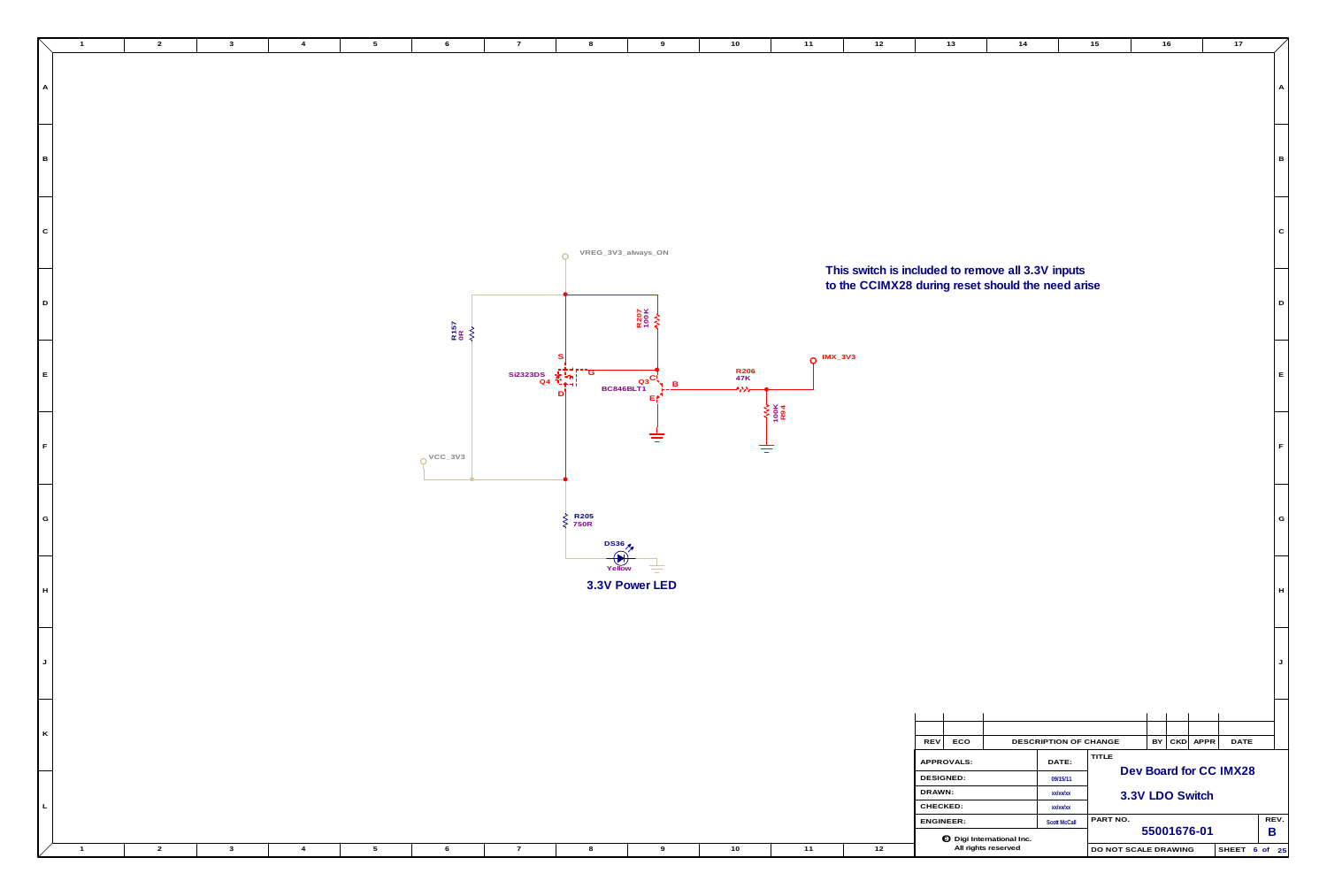|                               | $\overline{1}$ | $\overline{2}$ | $\mathbf{3}$            | $\overline{4}$ | $5^{\circ}$     | 6                      | $\overline{7}$         | 8                                                               | 9                                                  | 10                           | 11                 | 12                                                                                                     | 13                                           | 14                                                | 15                                                      | 16                                                    |                    | 17            |                |
|-------------------------------|----------------|----------------|-------------------------|----------------|-----------------|------------------------|------------------------|-----------------------------------------------------------------|----------------------------------------------------|------------------------------|--------------------|--------------------------------------------------------------------------------------------------------|----------------------------------------------|---------------------------------------------------|---------------------------------------------------------|-------------------------------------------------------|--------------------|---------------|----------------|
| A                             |                |                |                         |                |                 |                        |                        |                                                                 |                                                    |                              |                    |                                                                                                        |                                              |                                                   |                                                         |                                                       |                    |               | A              |
| $\overline{B}$                |                |                |                         |                |                 |                        |                        |                                                                 |                                                    |                              |                    |                                                                                                        |                                              |                                                   |                                                         |                                                       |                    |               | l B            |
| $\vert$ C                     |                |                |                         |                |                 |                        |                        | VREG_3V3_always_ON<br>$\Omega$                                  |                                                    |                              |                    |                                                                                                        |                                              |                                                   |                                                         |                                                       |                    |               | I C            |
| D                             |                |                |                         |                |                 | R157<br>0R<br><b>V</b> |                        |                                                                 | R207<br>100K<br><b>A)\}</b>                        |                              |                    | This switch is included to remove all 3.3V inputs<br>to the CCIMX28 during reset should the need arise |                                              |                                                   |                                                         |                                                       |                    |               | $\overline{D}$ |
| E                             |                |                |                         |                |                 |                        | Si2323DS $\frac{1}{2}$ | سهام الب                                                        | $\overline{\text{BC846BLT1}}^{\text{Q3}}$<br>$L =$ | R206<br>47K<br>$\rightarrow$ | $Q$ IMX_3V3        |                                                                                                        |                                              |                                                   |                                                         |                                                       |                    |               | IE.            |
| F                             |                |                |                         |                |                 | $OVCC_3V3$             |                        |                                                                 | 吉                                                  | ≑                            | $\frac{1001}{R94}$ |                                                                                                        |                                              |                                                   |                                                         |                                                       |                    |               | ΙF             |
| G                             |                |                |                         |                |                 |                        |                        | $\begin{array}{c}\n\xi \\ \xi\n\end{array}$ R205<br><b>DS36</b> |                                                    |                              |                    |                                                                                                        |                                              |                                                   |                                                         |                                                       |                    |               | G              |
| $\overline{\phantom{0}}$<br>H |                |                |                         |                |                 |                        |                        | $\bigoplus$<br>Yellow                                           | ₹<br>3.3V Power LED                                |                              |                    |                                                                                                        |                                              |                                                   |                                                         |                                                       |                    |               | IH.            |
| $\overline{\phantom{0}}$<br>J |                |                |                         |                |                 |                        |                        |                                                                 |                                                    |                              |                    |                                                                                                        |                                              |                                                   |                                                         |                                                       |                    |               |                |
| ═╛<br>K                       |                |                |                         |                |                 |                        |                        |                                                                 |                                                    |                              |                    |                                                                                                        | REV ECO<br>APPROVALS:                        |                                                   | DESCRIPTION OF CHANGE<br>DATE:                          | TITLE                                                 | $BY$ CKD APPR DATE |               |                |
| $\lfloor$ L $\rfloor$         |                |                |                         |                |                 |                        |                        |                                                                 |                                                    |                              |                    |                                                                                                        | DESIGNED:<br>DRAWN:<br>CHECKED:<br>ENGINEER: |                                                   | 09/15/11<br>xx/xx/xx<br>xx/xx/xx<br><b>Scott McCall</b> | Dev Board for CC IMX28<br>3.3V LDO Switch<br>PART NO. |                    |               | REV.           |
|                               | $\sim$ 1       | $\overline{2}$ | $\overline{\mathbf{3}}$ | $\overline{4}$ | $5\overline{)}$ | 6                      | $\overline{7}$         | 8                                                               | 9                                                  | 10                           | 11                 | 12                                                                                                     |                                              | to Digi International Inc.<br>All rights reserved |                                                         | DO NOT SCALE DRAWING                                  | 55001676-01        | SHEET 6 of 25 | $\mathsf{B}$   |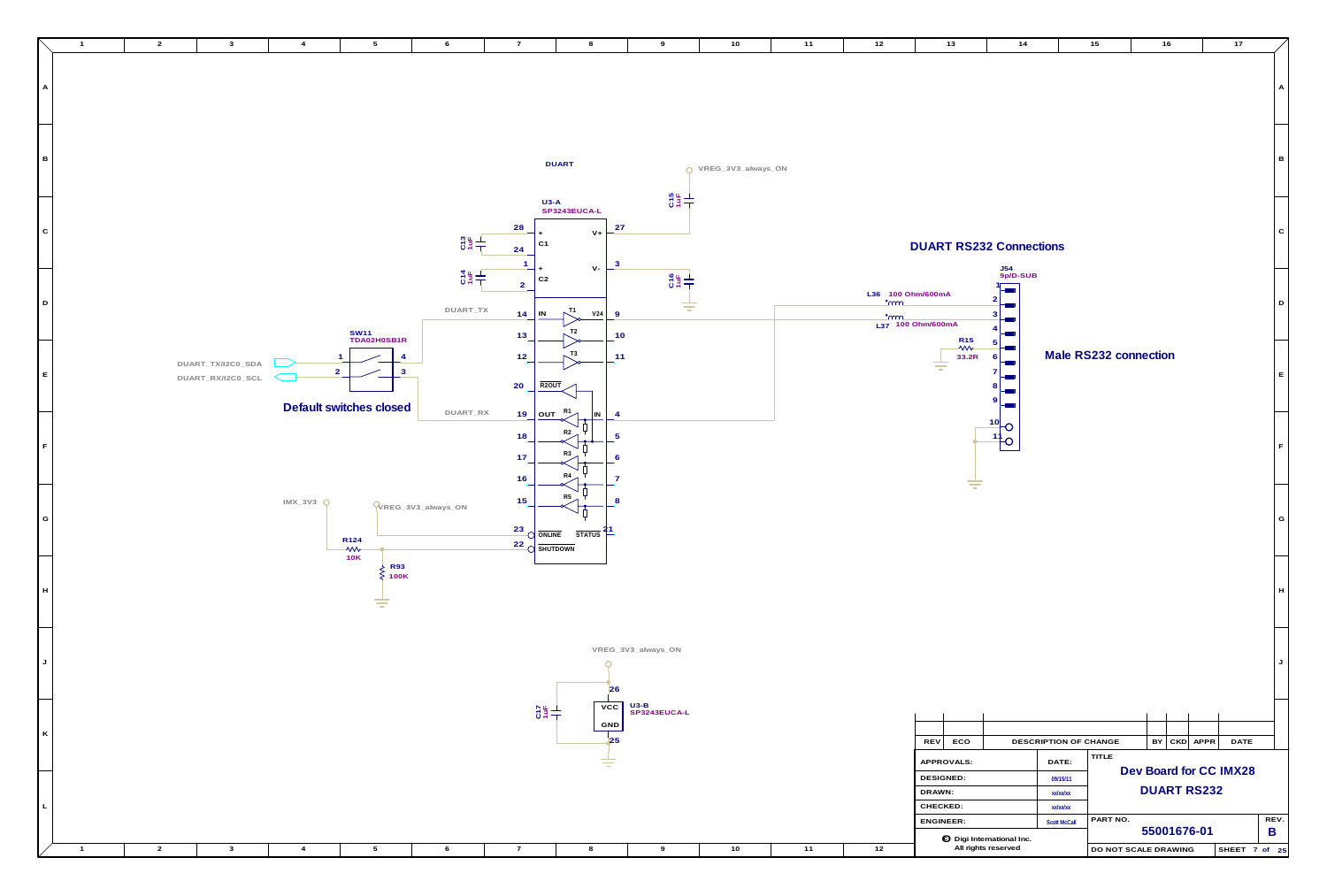

| 10 <sub>1</sub> | 11   | 12                                                   | 13                                             | 14                                          |                                 | 15                    |             | 16                 |                        | 17            |                           |
|-----------------|------|------------------------------------------------------|------------------------------------------------|---------------------------------------------|---------------------------------|-----------------------|-------------|--------------------|------------------------|---------------|---------------------------|
|                 |      |                                                      |                                                |                                             |                                 |                       |             |                    |                        |               | A                         |
| V3_always_ON    |      |                                                      |                                                |                                             |                                 |                       |             |                    |                        |               | $\, {\bf B}$              |
|                 |      |                                                      | <b>DUART RS232 Connections</b>                 |                                             |                                 |                       |             |                    |                        |               | ${\bf C}$                 |
|                 |      | L36 100 Ohm/600mA<br><u>°ന്ന</u><br><u>•mm</u>       | L37 100 Ohm/600mA                              | J54<br>9p/D-SUB<br>$\overline{2}$<br>3<br>4 |                                 |                       |             |                    |                        |               | $\mathsf D$               |
|                 |      |                                                      | R <sub>15</sub><br>$\rightsquigarrow$<br>33.2R | 5<br>6<br>7<br>8<br>9                       |                                 | Male RS232 connection |             |                    |                        |               | $\mathsf E$               |
|                 |      |                                                      |                                                | 10<br>11                                    |                                 |                       |             |                    |                        |               | $\mathsf F$               |
|                 |      |                                                      | $\overline{\phantom{a}}$                       |                                             |                                 |                       |             |                    |                        |               | ${\mathsf G}$             |
|                 |      |                                                      |                                                |                                             |                                 |                       |             |                    |                        |               | $\boldsymbol{\mathsf{H}}$ |
|                 |      |                                                      |                                                |                                             |                                 |                       |             |                    |                        |               | J                         |
|                 |      |                                                      | REV<br>ECO                                     |                                             | DESCRIPTION OF CHANGE           |                       | BY          | CKD                | APPR                   | <b>DATE</b>   |                           |
|                 |      | APPROVALS:<br><b>DESIGNED:</b><br>DRAWN:<br>CHECKED: |                                                | DATE:<br>09/15/11<br>xx/xx/xx               | <b>TITLE</b>                    |                       |             | <b>DUART RS232</b> | Dev Board for CC IMX28 |               |                           |
|                 |      |                                                      | ENGINEER:                                      | to Digi International Inc.                  | xx/xx/xx<br><b>Scott McCall</b> | PART NO.              | 55001676-01 |                    |                        |               | REV.<br>B                 |
| 10              | $11$ | $12$                                                 |                                                | All rights reserved                         |                                 | DO NOT SCALE DRAWING  |             |                    |                        | SHEET 7 of 25 |                           |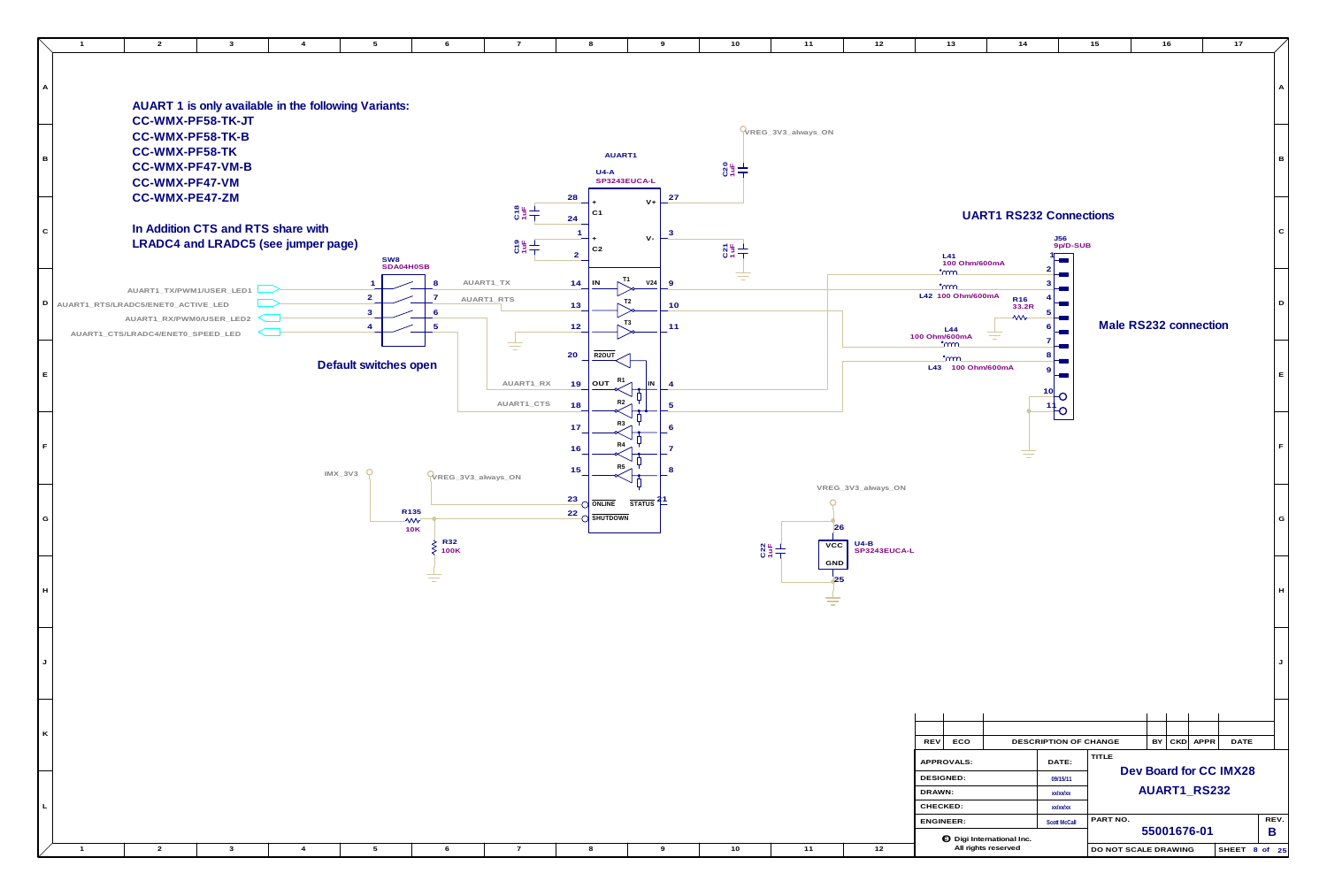

| 10 | 11                        | 12                                           | 13                                                   | 14                             |                                                 | 15                    | 16          |          | $17$                   |                           |
|----|---------------------------|----------------------------------------------|------------------------------------------------------|--------------------------------|-------------------------------------------------|-----------------------|-------------|----------|------------------------|---------------------------|
|    |                           |                                              |                                                      |                                |                                                 |                       |             |          |                        | Α                         |
|    | WREG_3V3_always_ON        |                                              |                                                      |                                |                                                 |                       |             |          |                        | $\, {\bf B}$              |
|    |                           |                                              |                                                      |                                |                                                 |                       |             |          |                        |                           |
|    |                           |                                              | L41<br>100 Ohm/600mA                                 | <b>UART1 RS232 Connections</b> | <b>J56</b><br>9p/D-SUB                          |                       |             |          |                        | $\mathbf C$               |
|    |                           |                                              | <u>•mm</u><br><u>•mm</u><br>L42 100 Ohm/600mA<br>L44 | R16<br>33.2R<br><b>WV</b>      | $\overline{2}$<br>3<br>4<br>$\overline{5}$<br>6 | Male RS232 connection |             |          |                        | D                         |
|    |                           |                                              | 100 Ohm/600mA<br><u>•mm</u><br>L43 100 Ohm/600mA     |                                | $\overline{7}$<br>8<br>9<br>10                  |                       |             |          |                        | $\mathsf E$               |
|    |                           |                                              |                                                      |                                |                                                 |                       |             |          |                        | $\mathsf F$               |
|    | 26<br>VCC<br>$rac{22}{5}$ | VREG_3V3_always_ON<br>$U4-B$<br>SP3243EUCA-L |                                                      |                                |                                                 |                       |             |          |                        | G                         |
|    | GND<br>25                 |                                              |                                                      |                                |                                                 |                       |             |          |                        | $\boldsymbol{\mathsf{H}}$ |
|    |                           |                                              |                                                      |                                |                                                 |                       |             |          |                        | J                         |
|    |                           |                                              | <b>REV</b><br>ECO                                    |                                | DESCRIPTION OF CHANGE                           |                       | BY          | CKD APPR | <b>DATE</b>            |                           |
|    |                           |                                              |                                                      |                                |                                                 | TITLE                 |             |          |                        |                           |
|    |                           |                                              | APPROVALS:<br><b>DESIGNED:</b>                       |                                | DATE:                                           |                       |             |          | Dev Board for CC IMX28 |                           |
|    |                           |                                              | DRAWN:                                               |                                | 09/15/11<br>xx/xx/xx                            |                       |             |          | AUART1_RS232           |                           |
|    |                           |                                              | CHECKED:                                             |                                | xx/xx/xx                                        |                       |             |          |                        |                           |
|    |                           |                                              | ENGINEER:                                            |                                | <b>Scott McCall</b>                             | PART NO.              | 55001676-01 |          |                        | REV.<br>B                 |
| 10 | 11                        | 12                                           | <b>O</b> Digi International Inc.                     | All rights reserved            |                                                 | DO NOT SCALE DRAWING  |             |          |                        | SHEET 8 of 25             |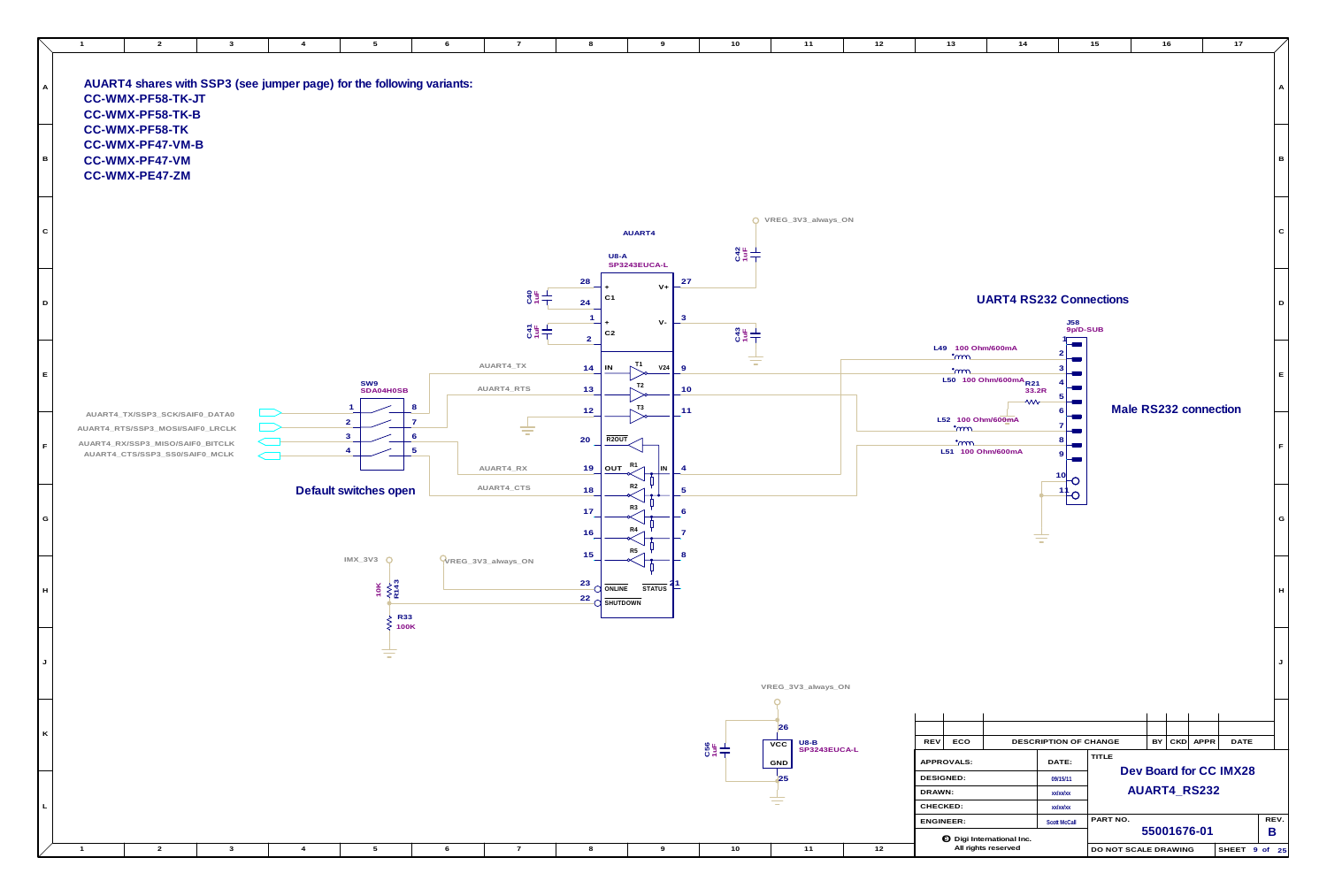

| 10 <sub>1</sub> | $11$                        | 12 | 13                                                                 | 14                                                      |                                     | 15                   |                       | 16 |          | $17$                   |                           |
|-----------------|-----------------------------|----|--------------------------------------------------------------------|---------------------------------------------------------|-------------------------------------|----------------------|-----------------------|----|----------|------------------------|---------------------------|
|                 |                             |    |                                                                    |                                                         |                                     |                      |                       |    |          |                        | A                         |
|                 |                             |    |                                                                    |                                                         |                                     |                      |                       |    |          |                        | $\, {\bf B}$              |
| $\frac{3}{2}$   | O VREG_3V3_always_ON        |    |                                                                    |                                                         |                                     |                      |                       |    |          |                        | ${\bf C}$                 |
|                 |                             |    |                                                                    | <b>UART4 RS232 Connections</b>                          | J58<br>9p/D-SUB                     |                      |                       |    |          |                        | D                         |
| C43             |                             |    | L49 100 Ohm/600mA<br><u>•mm</u><br>$\cdot$ m                       | L50 100 Ohm/600mA R21<br>33.2R<br>$\mathsf{w}$          | 2<br>3<br>4<br>5<br>6               |                      | Male RS232 connection |    |          |                        | $\mathsf E$               |
|                 |                             |    | L52 100 Ohm/600mA<br><u>•mm</u><br>$\cdot$ mm<br>L51 100 Ohm/600mA |                                                         | $\overline{7}$<br>8<br>9<br>10<br>O |                      |                       |    |          |                        | $\mathsf F$               |
|                 |                             |    |                                                                    |                                                         | $\frac{1}{1}$ O                     |                      |                       |    |          |                        | G                         |
|                 |                             |    |                                                                    |                                                         |                                     |                      |                       |    |          |                        | $\boldsymbol{\mathsf{H}}$ |
|                 | VREG_3V3_always_ON          |    |                                                                    |                                                         |                                     |                      |                       |    |          |                        | J                         |
|                 |                             |    |                                                                    |                                                         |                                     |                      |                       |    |          |                        |                           |
|                 | 26<br>$U8-B$<br>${\tt VCC}$ |    | ECO<br><b>REV</b>                                                  |                                                         | DESCRIPTION OF CHANGE               |                      | BY.                   |    | CKD APPR | DATE                   |                           |
|                 | SP3243EUCA-L<br>GND         |    | APPROVALS:                                                         |                                                         | DATE:                               | TITLE                |                       |    |          | Dev Board for CC IMX28 |                           |
|                 | 25                          |    | <b>DESIGNED:</b><br>DRAWN:                                         |                                                         | 09/15/11<br>xx/xx/xx                |                      | AUART4_RS232          |    |          |                        |                           |
|                 |                             |    | CHECKED:                                                           |                                                         | xx/xx/xx                            |                      |                       |    |          |                        |                           |
|                 |                             |    | <b>ENGINEER:</b>                                                   |                                                         | <b>Scott McCall</b>                 | PART NO.             | 55001676-01           |    |          |                        | REV.<br>B                 |
| 10              | 11                          | 12 |                                                                    | <b>O</b> Digi International Inc.<br>All rights reserved |                                     | DO NOT SCALE DRAWING |                       |    |          | SHEET 9 of 25          |                           |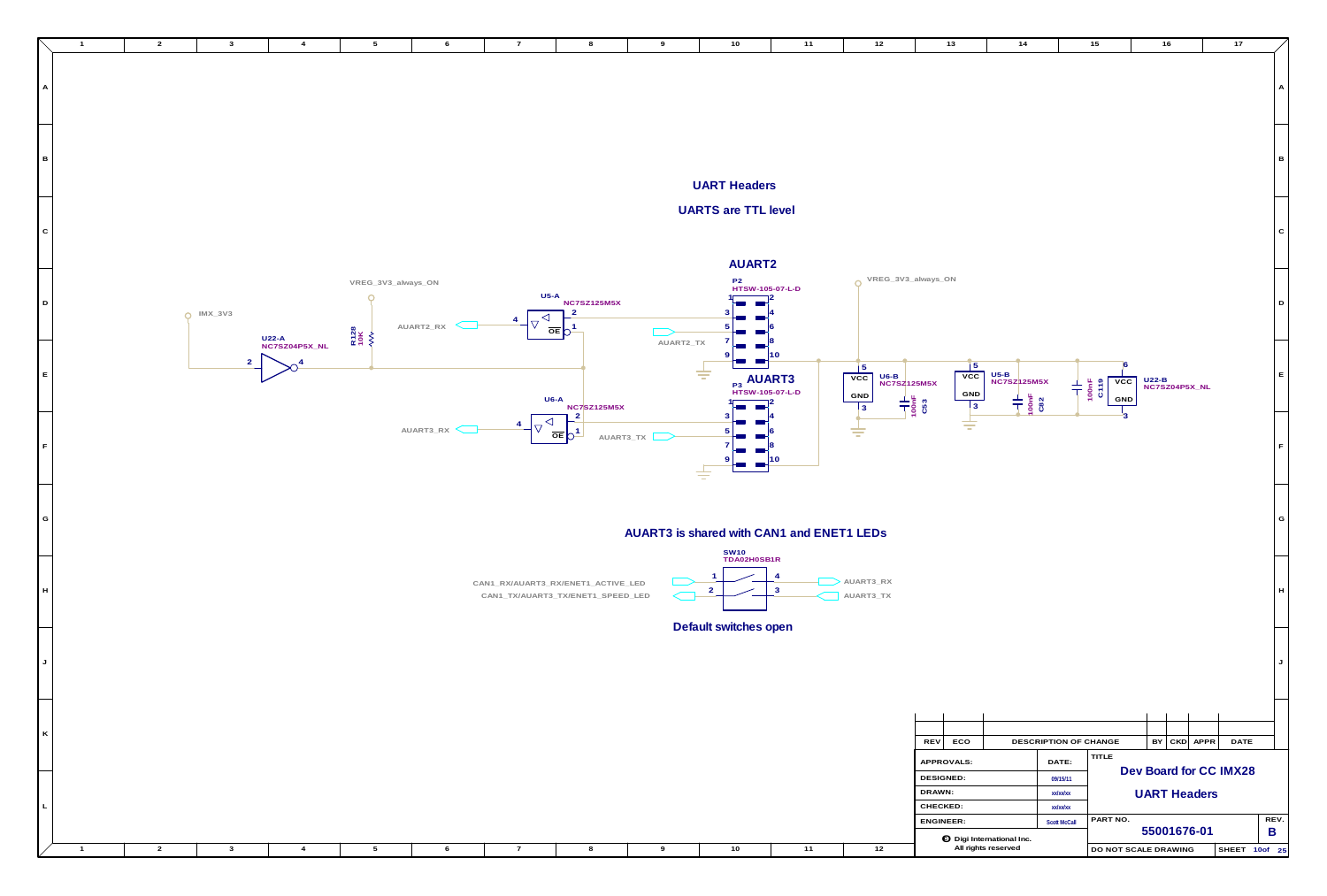

|  |  |  |  |  |  | memational inc.<br>- -   |                                       |
|--|--|--|--|--|--|--------------------------|---------------------------------------|
|  |  |  |  |  |  | $\cdots$<br>hts reserve. | D NOT SCALE DRAWING<br>$\sim$<br>. DO |

**L**

| 10 <sub>1</sub>                         | $11$                     | $12$                                                                               | 13                                                 | 14                                                                                           |                                           | 15                                      |                          | 16  |      | 17                     |             |
|-----------------------------------------|--------------------------|------------------------------------------------------------------------------------|----------------------------------------------------|----------------------------------------------------------------------------------------------|-------------------------------------------|-----------------------------------------|--------------------------|-----|------|------------------------|-------------|
|                                         |                          |                                                                                    |                                                    |                                                                                              |                                           |                                         |                          |     |      |                        | A           |
| <b>Headers</b>                          |                          |                                                                                    |                                                    |                                                                                              |                                           |                                         |                          |     |      |                        | В           |
| re TTL level                            |                          |                                                                                    |                                                    |                                                                                              |                                           |                                         |                          |     |      |                        | ${\bf C}$   |
| AUART2<br>P2<br>HTSW-105-07-L-D         | 8                        | VREG_3V3_always_ON                                                                 |                                                    |                                                                                              |                                           |                                         |                          |     |      |                        | $\mathsf D$ |
| <sub>P3</sub> AUART3<br>HTSW-105-07-L-D | 10                       | 5<br>$U6-B$<br>VCC<br><b>NC7SZ125M5X</b><br>GND<br>$\frac{1}{100}$<br>$\mathbf{3}$ | $\overline{5}$<br>$\overline{vcc}$<br>GND<br>$ _3$ | $U5-B$<br>NC7SZ125M5X<br>$\begin{array}{c} \n 100n \text{F} \\ \n \text{C82} \n \end{array}$ |                                           | 6<br>$100nF$ C119<br>${\tt VCC}$<br>GND | $U22-B$<br>NC7SZ04P5X_NL |     |      |                        | E           |
|                                         | 8<br>10                  |                                                                                    |                                                    |                                                                                              |                                           | 3                                       |                          |     |      |                        | $\mathsf F$ |
| <b>N10</b>                              | with CAN1 and ENET1 LEDs |                                                                                    |                                                    |                                                                                              |                                           |                                         |                          |     |      |                        | G           |
| DA02H0SB1R                              | 4<br>$\mathbf{3}$        | AUART3_RX<br>AUART3_TX                                                             |                                                    |                                                                                              |                                           |                                         |                          |     |      |                        | H           |
| itches open                             |                          |                                                                                    |                                                    |                                                                                              |                                           |                                         |                          |     |      |                        | J           |
|                                         |                          |                                                                                    | <b>REV</b><br>ECO                                  |                                                                                              | DESCRIPTION OF CHANGE                     |                                         | BY                       | CKD | APPR | <b>DATE</b>            |             |
|                                         |                          |                                                                                    | APPROVALS:<br>DESIGNED:<br>DRAWN:<br>CHECKED:      |                                                                                              | DATE:<br>09/15/11<br>xx/xx/xx<br>xx/xx/xx | <b>TITLE</b>                            | <b>UART Headers</b>      |     |      | Dev Board for CC IMX28 |             |
| 10                                      | $11$                     | 12                                                                                 | <b>ENGINEER:</b>                                   | <b>O</b> Digi International Inc.<br>All rights reserved                                      | <b>Scott McCall</b>                       | PART NO.<br>DO NOT SCALE DRAWING        | 55001676-01              |     |      | SHEET 10of 25          | REV.<br>B   |
|                                         |                          |                                                                                    |                                                    |                                                                                              |                                           |                                         |                          |     |      |                        |             |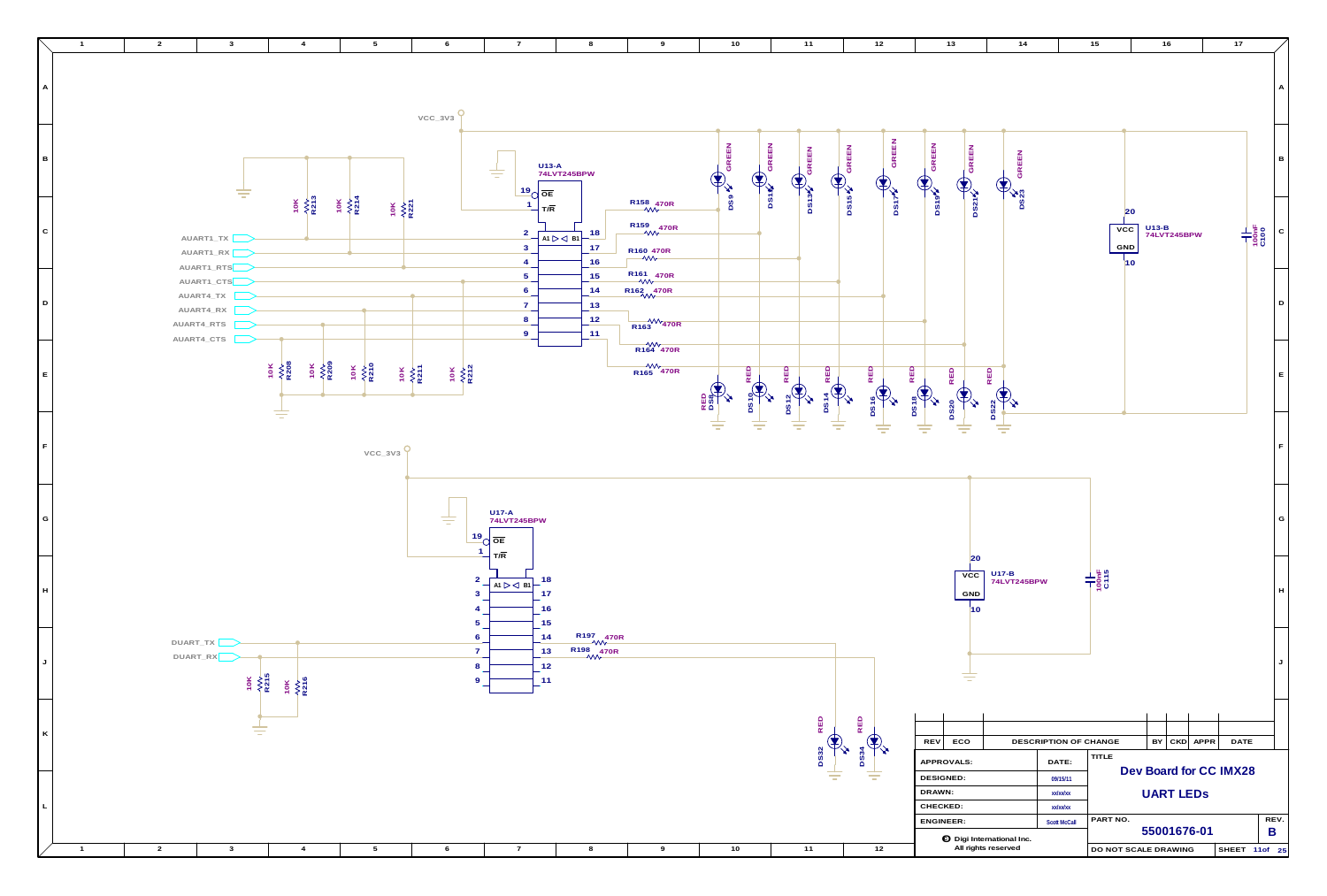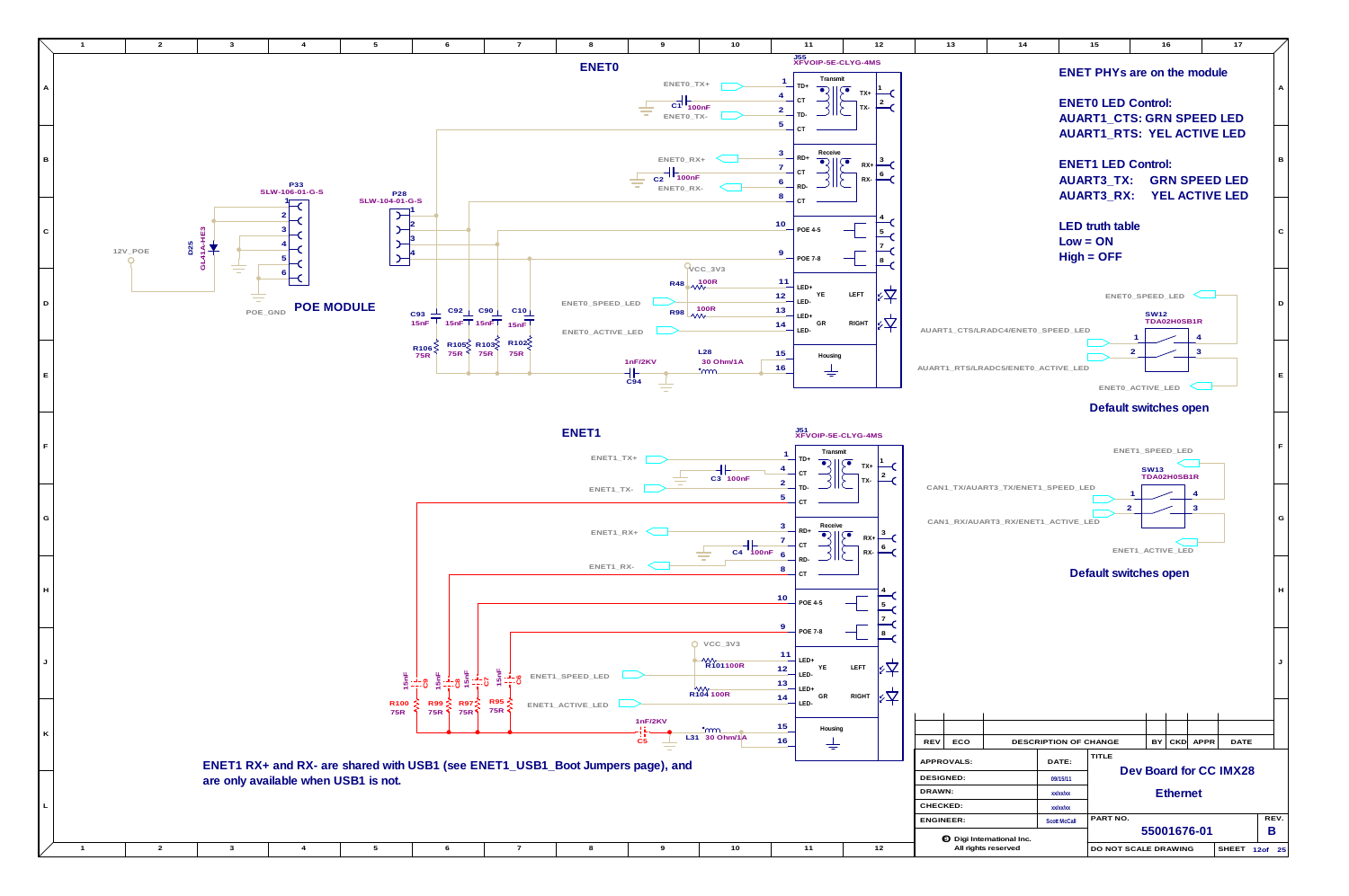**G**



**L**

**K**

**J**

**H**

| $^+$ c rocon $\prime$<br>$-$ DRAWING<br><b>IDO NG</b> |  |  |  |  |  |  |  |  |
|-------------------------------------------------------|--|--|--|--|--|--|--|--|
|                                                       |  |  |  |  |  |  |  |  |



**ENET1 RX+ and RX- are shared with USB1 (see ENET1\_USB1\_Boot Jumpers page), and are only available when USB1 is not.**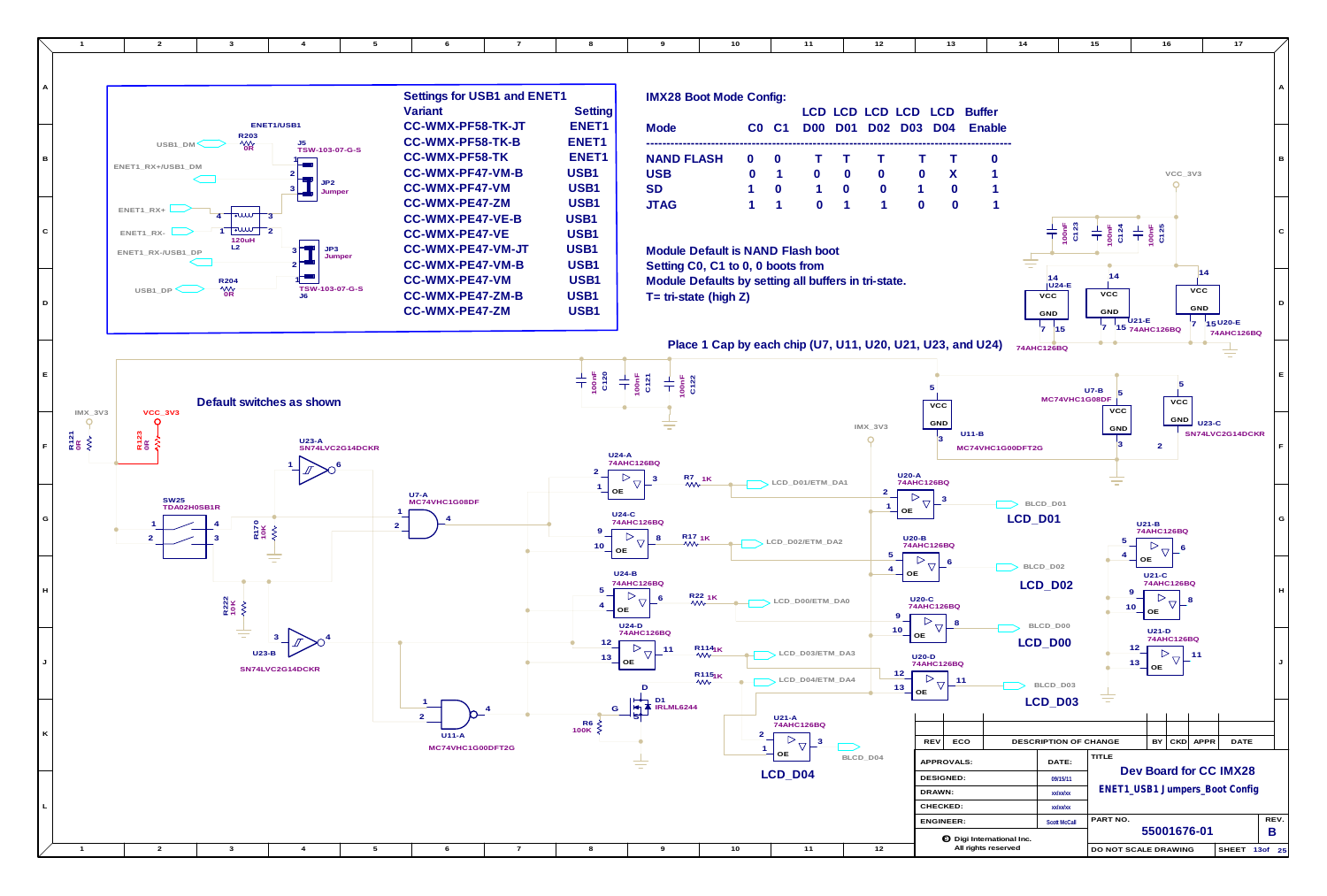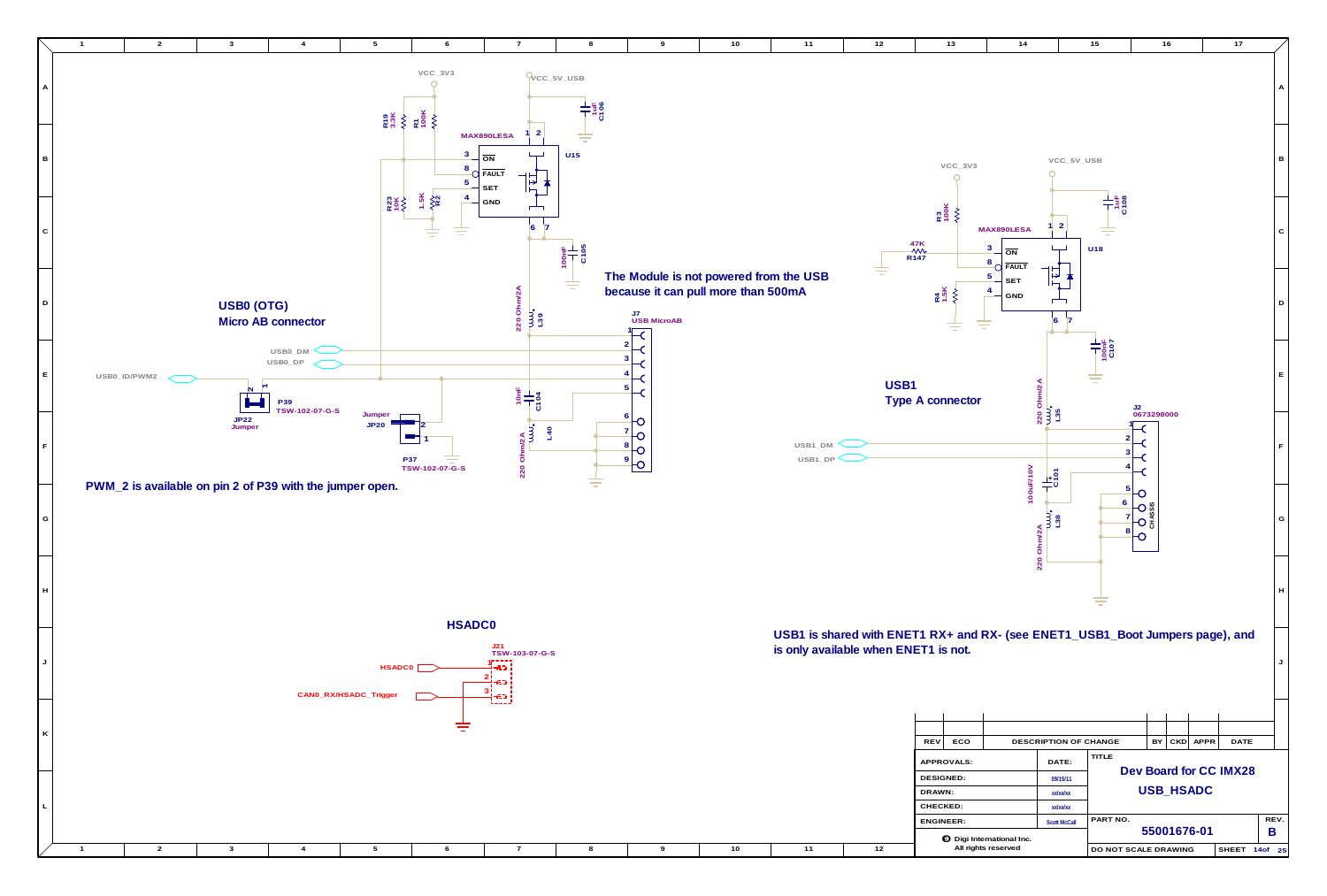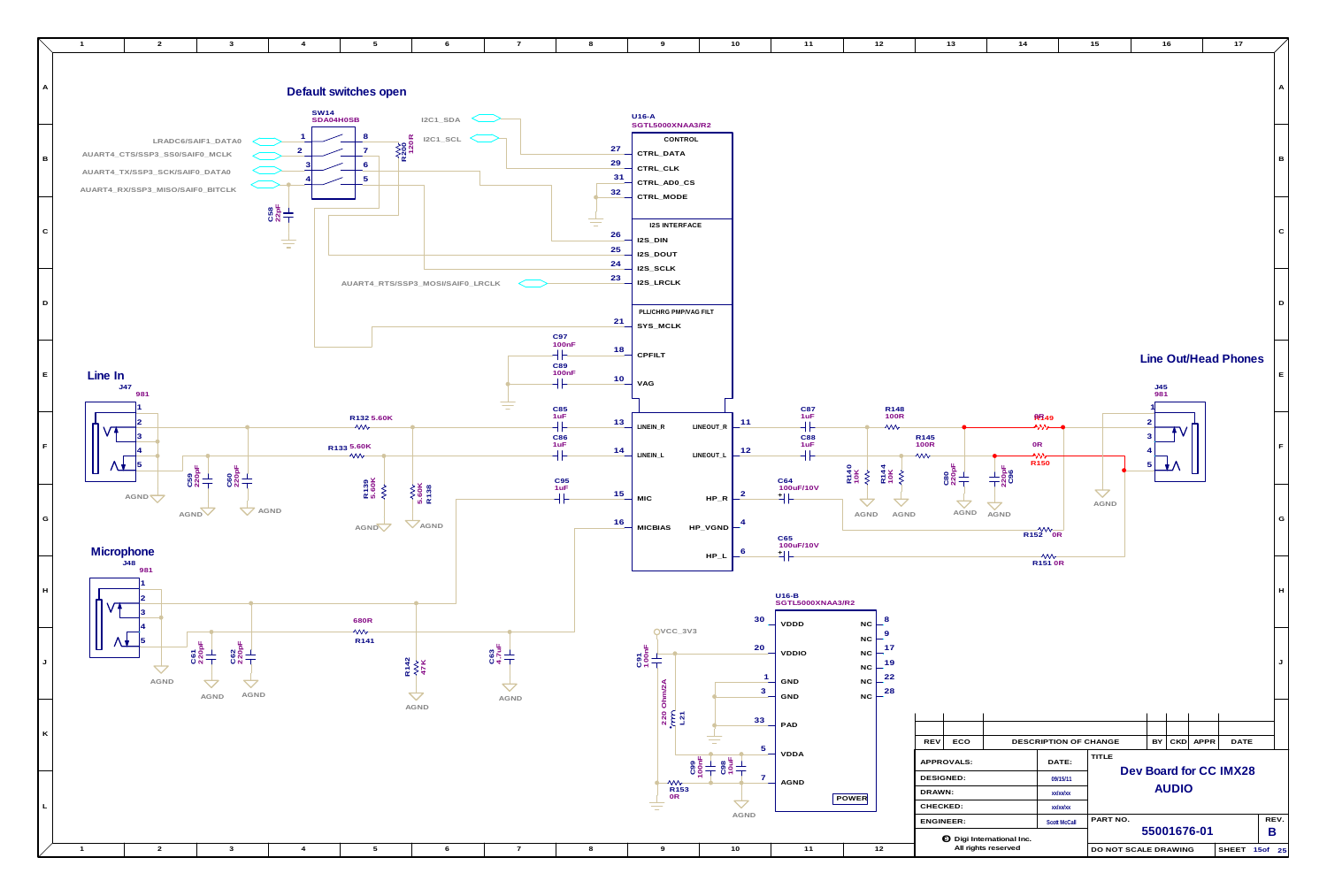

| 10                                   | $11$                                      | $12$                                                                                                                | $13$                                                          | 14                               |                                                         | $15$                 | 16                                     |              |          | $17\,$                         |                           |
|--------------------------------------|-------------------------------------------|---------------------------------------------------------------------------------------------------------------------|---------------------------------------------------------------|----------------------------------|---------------------------------------------------------|----------------------|----------------------------------------|--------------|----------|--------------------------------|---------------------------|
|                                      |                                           |                                                                                                                     |                                                               |                                  |                                                         |                      |                                        |              |          |                                | Α                         |
|                                      |                                           |                                                                                                                     |                                                               |                                  |                                                         |                      |                                        |              |          |                                | $\, {\bf B}$              |
|                                      |                                           |                                                                                                                     |                                                               |                                  |                                                         |                      |                                        |              |          |                                | ${\bf C}$                 |
|                                      |                                           |                                                                                                                     |                                                               |                                  |                                                         |                      |                                        |              |          |                                | $\mathsf D$               |
|                                      | $C87$<br>1uF                              | R148<br>100R                                                                                                        |                                                               |                                  |                                                         |                      | J45<br>981                             |              |          | <b>Line Out/Head Phones</b>    | $\mathsf E$               |
| 11<br>$12$                           | $\mathcal{H}$<br>C88<br>1uF<br>╢<br>C64   | W<br>R140<br>10K<br>R144<br>10K<br><b>W</b><br>$\left\langle \right\rangle$                                         | R145<br>100R<br>W<br>C80<br>220pF                             | $0\mathsf{R}$<br>ш<br>220pH      | <b>RR49</b><br>ヘハハ<br>$\frac{1}{2}$<br>R <sub>150</sub> |                      | $\overline{\mathbf{c}}$<br>3<br>4<br>5 |              |          |                                | $\mathsf F$               |
| $\overline{\mathbf{c}}$<br>4<br>6    | 100uF/10V<br>非<br>C65<br>100uF/10V        | AGND<br>AGND                                                                                                        | AGND                                                          | AGND                             | $\frac{1}{152}$ OR                                      | $\Delta$<br>AGND     |                                        |              |          |                                | G                         |
| 30                                   | 카ト<br>$U16-B$<br>SGTL5000XNAA3/R2<br>VDDD | $\mathbf{8}$<br>NC                                                                                                  |                                                               |                                  | $\rightsquigarrow$<br><b>R151 0R</b>                    |                      |                                        |              |          |                                | $\boldsymbol{\mathsf{H}}$ |
| 20<br>$\mathbf{1}$<br>3              | <b>VDDIO</b><br>GND<br>GND                | $\boldsymbol{9}$<br>$_{\rm NC}$<br>17<br>$_{\rm NC}$<br>19<br>$_{\rm NC}$<br>22<br>$_{\rm NC}$<br>28<br>$_{\rm NC}$ |                                                               |                                  |                                                         |                      |                                        |              |          |                                | J                         |
| 33                                   | PAD                                       |                                                                                                                     |                                                               |                                  |                                                         |                      |                                        |              |          |                                |                           |
| 5<br>$\frac{1}{2}$<br>$\overline{7}$ | VDDA<br><b>AGND</b>                       | POWER                                                                                                               | ECO<br><b>REV</b><br>APPROVALS:<br><b>DESIGNED:</b><br>DRAWN: |                                  | DESCRIPTION OF CHANGE<br>DATE:<br>09/15/11<br>xx/xx/xx  | TITLE                | BY                                     | <b>AUDIO</b> | CKD APPR | DATE<br>Dev Board for CC IMX28 |                           |
| AGND                                 |                                           |                                                                                                                     | CHECKED:<br>ENGINEER:                                         | <b>O</b> Digi International Inc. | xx/xx/xx<br><b>Scott McCall</b>                         | PART NO.             | 55001676-01                            |              |          |                                | REV.<br>B                 |
| $10$                                 | $11$                                      | 12                                                                                                                  |                                                               | All rights reserved              |                                                         | DO NOT SCALE DRAWING |                                        |              |          | SHEET 15of 25                  |                           |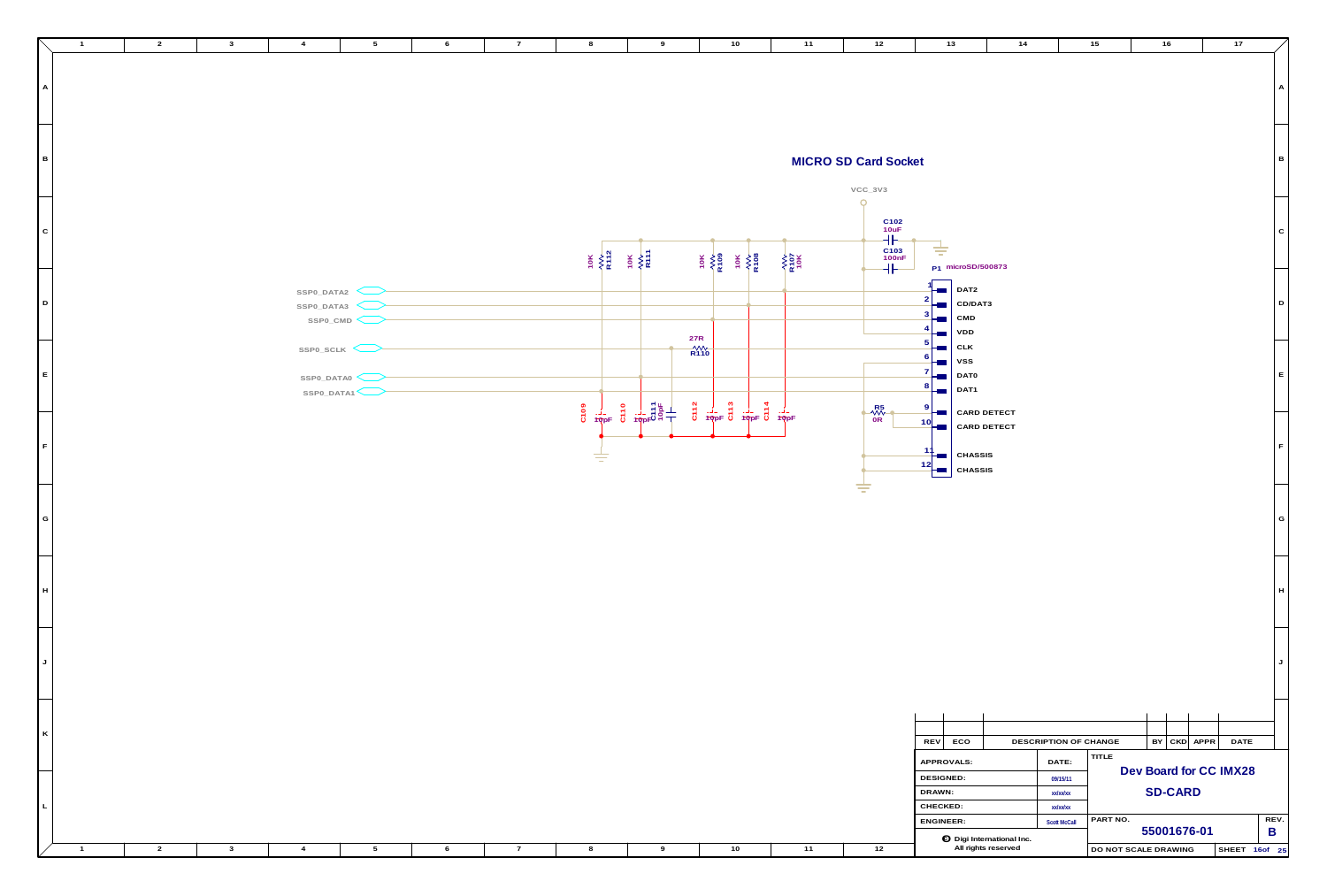|                | $\overline{2}$ | $\mathbf{3}$ | $\overline{4}$            | $5\overline{)}$ | 6 | $\overline{7}$ | 8 | 9                                                                                                                                                                                                                                                                                                                                                                                                  | 10 <sub>1</sub>                                                                                                                                                                                                                                                                                                                                                                                                                                                                                                                                         | 11          | 12                                                                                                               | 13                                                                     | 14                    | 15       | 16                     | 17             |
|----------------|----------------|--------------|---------------------------|-----------------|---|----------------|---|----------------------------------------------------------------------------------------------------------------------------------------------------------------------------------------------------------------------------------------------------------------------------------------------------------------------------------------------------------------------------------------------------|---------------------------------------------------------------------------------------------------------------------------------------------------------------------------------------------------------------------------------------------------------------------------------------------------------------------------------------------------------------------------------------------------------------------------------------------------------------------------------------------------------------------------------------------------------|-------------|------------------------------------------------------------------------------------------------------------------|------------------------------------------------------------------------|-----------------------|----------|------------------------|----------------|
|                |                |              |                           |                 |   |                |   |                                                                                                                                                                                                                                                                                                                                                                                                    |                                                                                                                                                                                                                                                                                                                                                                                                                                                                                                                                                         |             |                                                                                                                  |                                                                        |                       |          |                        |                |
|                |                |              |                           |                 |   |                |   |                                                                                                                                                                                                                                                                                                                                                                                                    |                                                                                                                                                                                                                                                                                                                                                                                                                                                                                                                                                         |             |                                                                                                                  |                                                                        |                       |          |                        |                |
| $\overline{A}$ |                |              |                           |                 |   |                |   |                                                                                                                                                                                                                                                                                                                                                                                                    |                                                                                                                                                                                                                                                                                                                                                                                                                                                                                                                                                         |             |                                                                                                                  |                                                                        |                       |          |                        | $\overline{A}$ |
|                |                |              |                           |                 |   |                |   |                                                                                                                                                                                                                                                                                                                                                                                                    |                                                                                                                                                                                                                                                                                                                                                                                                                                                                                                                                                         |             |                                                                                                                  |                                                                        |                       |          |                        |                |
|                |                |              |                           |                 |   |                |   |                                                                                                                                                                                                                                                                                                                                                                                                    |                                                                                                                                                                                                                                                                                                                                                                                                                                                                                                                                                         |             |                                                                                                                  |                                                                        |                       |          |                        |                |
|                |                |              |                           |                 |   |                |   |                                                                                                                                                                                                                                                                                                                                                                                                    |                                                                                                                                                                                                                                                                                                                                                                                                                                                                                                                                                         |             |                                                                                                                  |                                                                        |                       |          |                        |                |
|                |                |              |                           |                 |   |                |   |                                                                                                                                                                                                                                                                                                                                                                                                    |                                                                                                                                                                                                                                                                                                                                                                                                                                                                                                                                                         |             |                                                                                                                  |                                                                        |                       |          |                        |                |
| в              |                |              |                           |                 |   |                |   |                                                                                                                                                                                                                                                                                                                                                                                                    |                                                                                                                                                                                                                                                                                                                                                                                                                                                                                                                                                         |             | <b>MICRO SD Card Socket</b>                                                                                      |                                                                        |                       |          |                        | B              |
|                |                |              |                           |                 |   |                |   |                                                                                                                                                                                                                                                                                                                                                                                                    |                                                                                                                                                                                                                                                                                                                                                                                                                                                                                                                                                         |             | $VCC_3V3$                                                                                                        |                                                                        |                       |          |                        |                |
|                |                |              |                           |                 |   |                |   |                                                                                                                                                                                                                                                                                                                                                                                                    |                                                                                                                                                                                                                                                                                                                                                                                                                                                                                                                                                         |             | $\Omega$                                                                                                         |                                                                        |                       |          |                        |                |
|                |                |              |                           |                 |   |                |   |                                                                                                                                                                                                                                                                                                                                                                                                    |                                                                                                                                                                                                                                                                                                                                                                                                                                                                                                                                                         |             |                                                                                                                  |                                                                        |                       |          |                        |                |
| $\vert$ c      |                |              |                           |                 |   |                |   |                                                                                                                                                                                                                                                                                                                                                                                                    |                                                                                                                                                                                                                                                                                                                                                                                                                                                                                                                                                         |             | $\begin{array}{c}\nC102 \\ 10uF \\ \hline\n\end{array}$ $\begin{array}{c}\nC103 \\ 100nF \\ \hline\n\end{array}$ |                                                                        |                       |          |                        | $\mathbf C$    |
|                |                |              |                           |                 |   |                |   |                                                                                                                                                                                                                                                                                                                                                                                                    |                                                                                                                                                                                                                                                                                                                                                                                                                                                                                                                                                         |             |                                                                                                                  | 吉                                                                      |                       |          |                        |                |
|                |                |              |                           |                 |   |                |   | $\begin{array}{cc}\n\frac{1}{10} & \frac{1}{10} \\ \frac{1}{10} & \frac{1}{10} \\ \frac{1}{10} & \frac{1}{10} \\ \frac{1}{10} & \frac{1}{10} \\ \frac{1}{10} & \frac{1}{10} \\ \frac{1}{10} & \frac{1}{10} \\ \frac{1}{10} & \frac{1}{10} \\ \frac{1}{10} & \frac{1}{10} \\ \frac{1}{10} & \frac{1}{10} \\ \frac{1}{10} & \frac{1}{10} \\ \frac{1}{10} & \frac{1}{10} \\ \frac{1}{10} & \frac{1}{$ | $\begin{array}{c}\n\uparrow \circ \mathsf{W} \\ \uparrow \circ \mathsf{W} \\ \uparrow \circ \mathsf{W} \\ \uparrow \circ \mathsf{W} \\ \uparrow \circ \mathsf{W} \\ \uparrow \circ \mathsf{W} \\ \uparrow \circ \mathsf{W} \\ \uparrow \circ \mathsf{W} \\ \uparrow \circ \mathsf{W} \\ \uparrow \circ \mathsf{W} \\ \uparrow \circ \mathsf{W} \\ \uparrow \circ \mathsf{W} \\ \uparrow \circ \mathsf{W} \\ \uparrow \circ \mathsf{W} \\ \uparrow \circ \mathsf{W} \\ \uparrow \circ \mathsf{W} \\ \uparrow \circ \mathsf{W} \\ \uparrow \circ \mathsf$ | $rac{1}{2}$ |                                                                                                                  | P1 microSD/500873                                                      |                       |          |                        |                |
|                |                |              |                           |                 |   |                |   |                                                                                                                                                                                                                                                                                                                                                                                                    |                                                                                                                                                                                                                                                                                                                                                                                                                                                                                                                                                         |             |                                                                                                                  |                                                                        |                       |          |                        |                |
|                |                |              | $SSPO_DATA2 \n\leftarrow$ |                 |   |                |   |                                                                                                                                                                                                                                                                                                                                                                                                    |                                                                                                                                                                                                                                                                                                                                                                                                                                                                                                                                                         |             |                                                                                                                  | $\overline{\phantom{a}}$ DAT2                                          |                       |          |                        |                |
| $\overline{D}$ |                |              | $SSPO_DATA3$              |                 |   |                |   |                                                                                                                                                                                                                                                                                                                                                                                                    |                                                                                                                                                                                                                                                                                                                                                                                                                                                                                                                                                         |             |                                                                                                                  | CD/DAT3<br>$\blacksquare$<br>CMD                                       |                       |          |                        | D              |
|                |                |              |                           | SSPO_CMD        |   |                |   |                                                                                                                                                                                                                                                                                                                                                                                                    |                                                                                                                                                                                                                                                                                                                                                                                                                                                                                                                                                         |             |                                                                                                                  | $\sim$<br>VDD<br>-a j                                                  |                       |          |                        |                |
|                |                |              | SSPO_SCLK                 |                 |   |                |   |                                                                                                                                                                                                                                                                                                                                                                                                    | $\begin{array}{c}\n 27R \\  \hline\n N \\ \hline\n R110\n \end{array}$                                                                                                                                                                                                                                                                                                                                                                                                                                                                                  |             |                                                                                                                  | <b>CLK</b><br>$\blacksquare$                                           |                       |          |                        |                |
|                |                |              |                           |                 |   |                |   |                                                                                                                                                                                                                                                                                                                                                                                                    |                                                                                                                                                                                                                                                                                                                                                                                                                                                                                                                                                         |             |                                                                                                                  | <b>VSS</b><br>-an i                                                    |                       |          |                        |                |
| E              |                |              | $SSPO\_DATAO$             |                 |   |                |   |                                                                                                                                                                                                                                                                                                                                                                                                    |                                                                                                                                                                                                                                                                                                                                                                                                                                                                                                                                                         |             |                                                                                                                  | DATO<br>$\blacksquare$                                                 |                       |          |                        | E              |
|                |                |              | SSPO_DATA1                |                 |   |                |   |                                                                                                                                                                                                                                                                                                                                                                                                    |                                                                                                                                                                                                                                                                                                                                                                                                                                                                                                                                                         |             |                                                                                                                  | $\frac{8}{\sqrt{2}}$ DAT1                                              |                       |          |                        |                |
|                |                |              |                           |                 |   |                |   | $rac{8}{6}$ $rac{1}{\sqrt{2}}$ $rac{6}{\sqrt{2}}$ $rac{1}{\sqrt{2}}$ $rac{1}{\sqrt{2}}$ $rac{1}{\sqrt{2}}$ $rac{1}{\sqrt{2}}$                                                                                                                                                                                                                                                                      | $\begin{array}{c ccc}\n\frac{\alpha}{\alpha} & \frac{1}{\alpha} & \frac{\alpha}{\alpha} & \frac{1}{\alpha} & \frac{\alpha}{\alpha} & \frac{1}{\alpha} \\ \frac{\alpha}{\alpha} & \frac{1}{\alpha} & \frac{\alpha}{\alpha} & \frac{\alpha}{\alpha} & \frac{\alpha}{\alpha} & \frac{1}{\alpha} \\ \frac{\alpha}{\alpha} & \frac{\alpha}{\alpha} & \frac{\alpha}{\alpha} & \frac{\alpha}{\alpha} & \frac{\alpha}{\alpha} & \frac{\alpha}{\alpha}\n\end{array}$                                                                                             |             | $\begin{array}{c} R5 \\ \hline \text{WW} \\ \text{OR} \end{array}$                                               | <b>FOR</b> CARD DETECT                                                 |                       |          |                        |                |
|                |                |              |                           |                 |   |                |   |                                                                                                                                                                                                                                                                                                                                                                                                    |                                                                                                                                                                                                                                                                                                                                                                                                                                                                                                                                                         |             |                                                                                                                  | $\left  \begin{array}{c} 10 \\ \hline \end{array} \right $ CARD DETECT |                       |          |                        |                |
| I F.           |                |              |                           |                 |   |                |   |                                                                                                                                                                                                                                                                                                                                                                                                    |                                                                                                                                                                                                                                                                                                                                                                                                                                                                                                                                                         |             |                                                                                                                  |                                                                        |                       |          |                        |                |
|                |                |              |                           |                 |   |                | 吉 |                                                                                                                                                                                                                                                                                                                                                                                                    |                                                                                                                                                                                                                                                                                                                                                                                                                                                                                                                                                         |             |                                                                                                                  | <b>CHASSIS</b><br>╄▆▏▎<br>12                                           |                       |          |                        |                |
|                |                |              |                           |                 |   |                |   |                                                                                                                                                                                                                                                                                                                                                                                                    |                                                                                                                                                                                                                                                                                                                                                                                                                                                                                                                                                         |             |                                                                                                                  | $\left  \bullet \right $ CHASSIS                                       |                       |          |                        |                |
|                |                |              |                           |                 |   |                |   |                                                                                                                                                                                                                                                                                                                                                                                                    |                                                                                                                                                                                                                                                                                                                                                                                                                                                                                                                                                         |             | 圭                                                                                                                |                                                                        |                       |          |                        |                |
|                |                |              |                           |                 |   |                |   |                                                                                                                                                                                                                                                                                                                                                                                                    |                                                                                                                                                                                                                                                                                                                                                                                                                                                                                                                                                         |             |                                                                                                                  |                                                                        |                       |          |                        |                |
| G              |                |              |                           |                 |   |                |   |                                                                                                                                                                                                                                                                                                                                                                                                    |                                                                                                                                                                                                                                                                                                                                                                                                                                                                                                                                                         |             |                                                                                                                  |                                                                        |                       |          |                        | G              |
|                |                |              |                           |                 |   |                |   |                                                                                                                                                                                                                                                                                                                                                                                                    |                                                                                                                                                                                                                                                                                                                                                                                                                                                                                                                                                         |             |                                                                                                                  |                                                                        |                       |          |                        |                |
|                |                |              |                           |                 |   |                |   |                                                                                                                                                                                                                                                                                                                                                                                                    |                                                                                                                                                                                                                                                                                                                                                                                                                                                                                                                                                         |             |                                                                                                                  |                                                                        |                       |          |                        |                |
|                |                |              |                           |                 |   |                |   |                                                                                                                                                                                                                                                                                                                                                                                                    |                                                                                                                                                                                                                                                                                                                                                                                                                                                                                                                                                         |             |                                                                                                                  |                                                                        |                       |          |                        |                |
| Iн.            |                |              |                           |                 |   |                |   |                                                                                                                                                                                                                                                                                                                                                                                                    |                                                                                                                                                                                                                                                                                                                                                                                                                                                                                                                                                         |             |                                                                                                                  |                                                                        |                       |          |                        | H              |
|                |                |              |                           |                 |   |                |   |                                                                                                                                                                                                                                                                                                                                                                                                    |                                                                                                                                                                                                                                                                                                                                                                                                                                                                                                                                                         |             |                                                                                                                  |                                                                        |                       |          |                        |                |
|                |                |              |                           |                 |   |                |   |                                                                                                                                                                                                                                                                                                                                                                                                    |                                                                                                                                                                                                                                                                                                                                                                                                                                                                                                                                                         |             |                                                                                                                  |                                                                        |                       |          |                        |                |
|                |                |              |                           |                 |   |                |   |                                                                                                                                                                                                                                                                                                                                                                                                    |                                                                                                                                                                                                                                                                                                                                                                                                                                                                                                                                                         |             |                                                                                                                  |                                                                        |                       |          |                        |                |
|                |                |              |                           |                 |   |                |   |                                                                                                                                                                                                                                                                                                                                                                                                    |                                                                                                                                                                                                                                                                                                                                                                                                                                                                                                                                                         |             |                                                                                                                  |                                                                        |                       |          |                        |                |
| $\mathsf{L}$   |                |              |                           |                 |   |                |   |                                                                                                                                                                                                                                                                                                                                                                                                    |                                                                                                                                                                                                                                                                                                                                                                                                                                                                                                                                                         |             |                                                                                                                  |                                                                        |                       |          |                        |                |
|                |                |              |                           |                 |   |                |   |                                                                                                                                                                                                                                                                                                                                                                                                    |                                                                                                                                                                                                                                                                                                                                                                                                                                                                                                                                                         |             |                                                                                                                  |                                                                        |                       |          |                        |                |
|                |                |              |                           |                 |   |                |   |                                                                                                                                                                                                                                                                                                                                                                                                    |                                                                                                                                                                                                                                                                                                                                                                                                                                                                                                                                                         |             |                                                                                                                  |                                                                        |                       |          |                        |                |
|                |                |              |                           |                 |   |                |   |                                                                                                                                                                                                                                                                                                                                                                                                    |                                                                                                                                                                                                                                                                                                                                                                                                                                                                                                                                                         |             |                                                                                                                  |                                                                        |                       |          |                        |                |
| K              |                |              |                           |                 |   |                |   |                                                                                                                                                                                                                                                                                                                                                                                                    |                                                                                                                                                                                                                                                                                                                                                                                                                                                                                                                                                         |             |                                                                                                                  | REV ECO                                                                | DESCRIPTION OF CHANGE |          | $BY$ $CKD$ $APPR$      | <b>DATE</b>    |
|                |                |              |                           |                 |   |                |   |                                                                                                                                                                                                                                                                                                                                                                                                    |                                                                                                                                                                                                                                                                                                                                                                                                                                                                                                                                                         |             |                                                                                                                  | APPROVALS:                                                             | DATE:                 | TITLE    |                        |                |
|                |                |              |                           |                 |   |                |   |                                                                                                                                                                                                                                                                                                                                                                                                    |                                                                                                                                                                                                                                                                                                                                                                                                                                                                                                                                                         |             |                                                                                                                  | DESIGNED:                                                              | 09/15/11              |          | Dev Board for CC IMX28 |                |
|                |                |              |                           |                 |   |                |   |                                                                                                                                                                                                                                                                                                                                                                                                    |                                                                                                                                                                                                                                                                                                                                                                                                                                                                                                                                                         |             |                                                                                                                  | DRAWN:                                                                 | xx/xx/xx              |          | <b>SD-CARD</b>         |                |
| l L.           |                |              |                           |                 |   |                |   |                                                                                                                                                                                                                                                                                                                                                                                                    |                                                                                                                                                                                                                                                                                                                                                                                                                                                                                                                                                         |             |                                                                                                                  | CHECKED:                                                               | xx/xx/xx              |          |                        |                |
|                |                |              |                           |                 |   |                |   |                                                                                                                                                                                                                                                                                                                                                                                                    |                                                                                                                                                                                                                                                                                                                                                                                                                                                                                                                                                         |             |                                                                                                                  | ENGINEER:                                                              | <b>Scott McCall</b>   | PART NO. |                        | REV.           |
|                |                |              |                           |                 |   |                |   |                                                                                                                                                                                                                                                                                                                                                                                                    |                                                                                                                                                                                                                                                                                                                                                                                                                                                                                                                                                         |             |                                                                                                                  | <b>O</b> Digi International Inc.                                       |                       |          | 55001676-01            | $\mathsf B$    |
| $\overline{1}$ | $\overline{2}$ | $\mathbf{3}$ | $\overline{4}$            | $5\overline{)}$ | 6 | $\overline{7}$ | 8 | 9                                                                                                                                                                                                                                                                                                                                                                                                  | 10                                                                                                                                                                                                                                                                                                                                                                                                                                                                                                                                                      | 11          | 12                                                                                                               | All rights reserved                                                    |                       |          | DO NOT SCALE DRAWING   | SHEET 16of 25  |

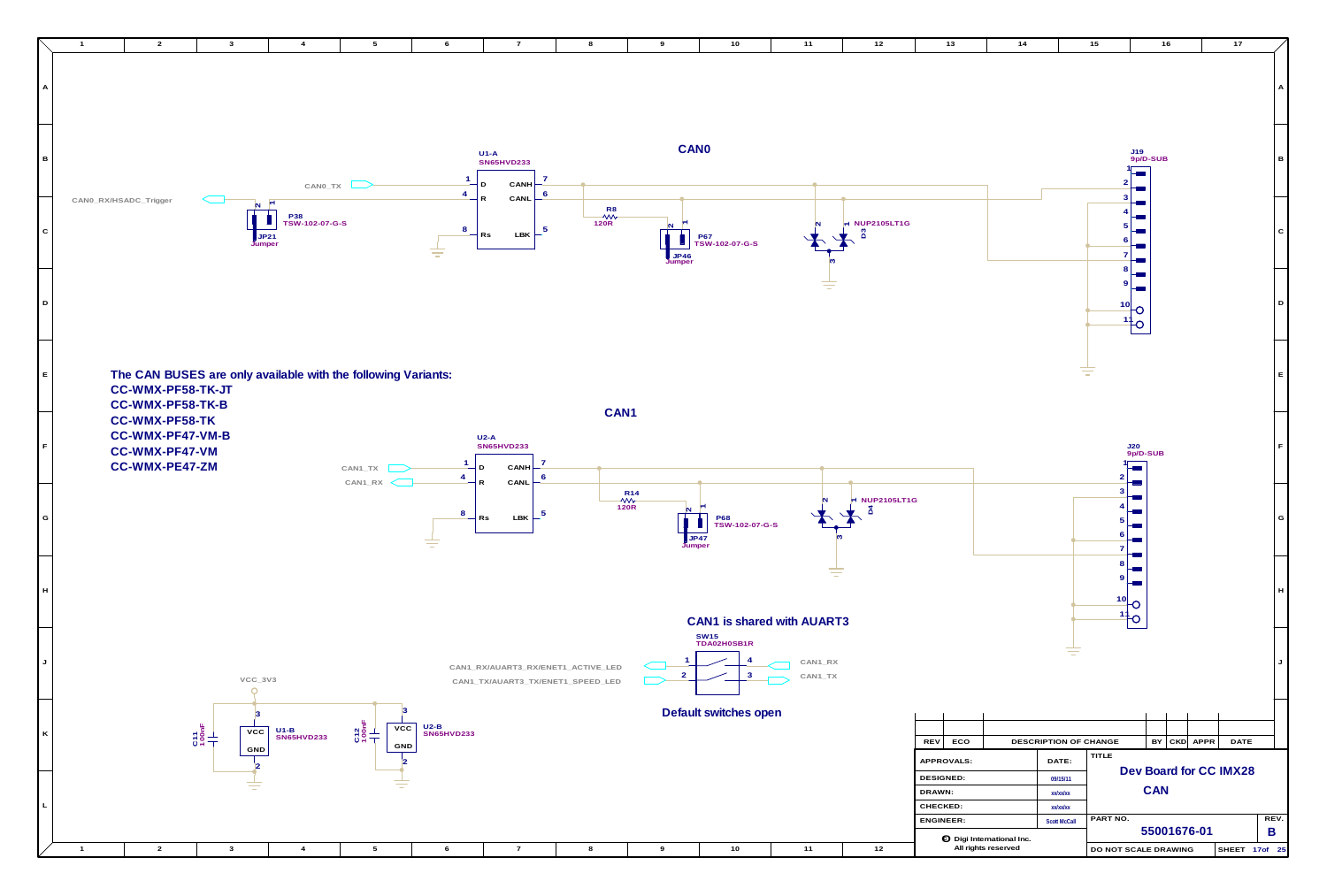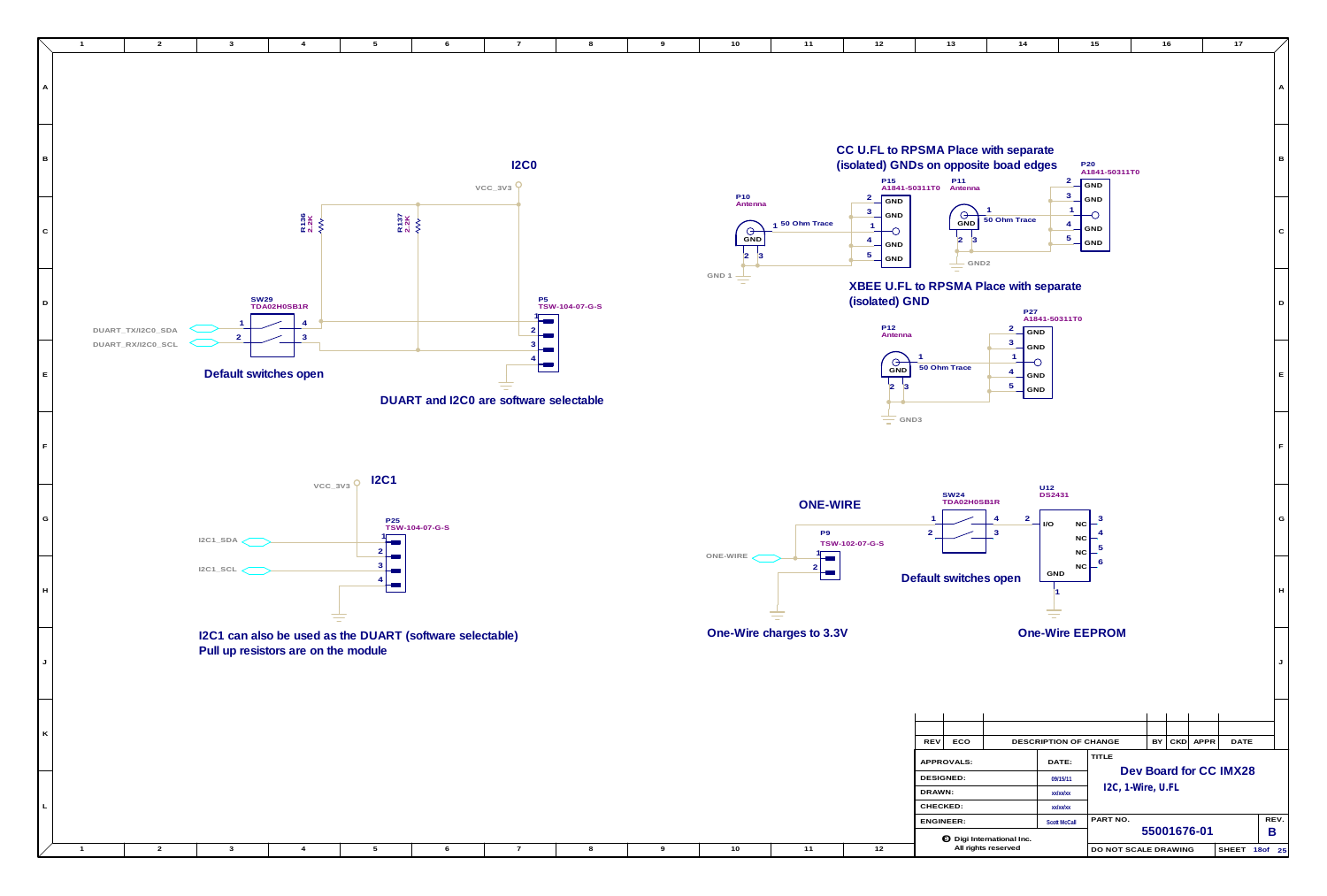

| 10                                                | 11                                | 12                                                                                                                      | 13                                                         | 14                                         |                                         | 15                                             | 16                |             | 17                     |           |
|---------------------------------------------------|-----------------------------------|-------------------------------------------------------------------------------------------------------------------------|------------------------------------------------------------|--------------------------------------------|-----------------------------------------|------------------------------------------------|-------------------|-------------|------------------------|-----------|
|                                                   |                                   |                                                                                                                         |                                                            |                                            |                                         |                                                |                   |             |                        | A         |
| P <sub>10</sub>                                   |                                   | CC U.FL to RPSMA Place with separate<br>(isolated) GNDs on opposite boad edges<br>P <sub>15</sub><br>A1841-50311T0<br>2 | P <sub>11</sub><br>Antenna                                 |                                            | $\overline{2}$<br>3                     | P <sub>20</sub><br>A1841-50311T0<br><b>GND</b> |                   |             |                        | в         |
| Antenna<br>$\Theta$<br>GND<br>$\overline{2}$<br>3 | 50 Ohm Trace<br>1                 | GND<br>3<br><b>GND</b><br>$\mathbf{1}$<br>O<br>4<br><b>GND</b><br>$\overline{5}$<br>GND                                 | Θ<br><b>GND</b><br>$\overline{2}$<br>3<br>GND <sub>2</sub> | 1<br>50 Ohm Trace                          | 1<br>4<br>5                             | <b>GND</b><br>O<br><b>GND</b><br>GND           |                   |             |                        | C         |
|                                                   |                                   | (isolated) GND<br>P <sub>12</sub><br>Antenna                                                                            | XBEE U.FL to RPSMA Place with separate                     | <b>P27</b><br>$\mathbf{2}$<br>GND          | A1841-50311T0                           |                                                |                   |             |                        | D         |
|                                                   |                                   | Θ<br><b>GND</b><br>$\overline{2}$<br>3                                                                                  | 1<br>50 Ohm Trace                                          | 3<br>GND<br>1<br>O<br>4<br>GND<br>5<br>GND |                                         |                                                |                   |             |                        | Е         |
|                                                   |                                   | GND3                                                                                                                    |                                                            |                                            |                                         |                                                |                   |             |                        | F         |
|                                                   | <b>ONE-WIRE</b><br>P <sub>9</sub> | TSW-102-07-G-S                                                                                                          | <b>SW24</b><br>TDA02H0SB1R<br>1<br>$\overline{a}$          | U12<br>$\overline{\mathbf{c}}$<br>4<br>3   | <b>DS2431</b><br>I/O<br>NC.<br>NC<br>NC | 3<br>5                                         |                   |             |                        | G         |
| VIRE <                                            | 2                                 |                                                                                                                         | Default switches open                                      |                                            | $_{\rm NC}$<br><b>GND</b>               | 6                                              |                   |             |                        | H         |
|                                                   | -Wire charges to 3.3V             |                                                                                                                         |                                                            |                                            |                                         | <b>One-Wire EEPROM</b>                         |                   |             |                        | J         |
|                                                   |                                   |                                                                                                                         |                                                            |                                            |                                         |                                                |                   |             |                        |           |
|                                                   |                                   |                                                                                                                         | ECO<br><b>REV</b>                                          |                                            | DESCRIPTION OF CHANGE                   | <b>TITLE</b>                                   | BY                | CKD APPR    | DATE                   |           |
|                                                   |                                   |                                                                                                                         | APPROVALS:<br><b>DESIGNED:</b><br>DRAWN:                   |                                            | DATE:<br>09/15/11                       |                                                | I2C, 1-Wire, U.FL |             | Dev Board for CC IMX28 |           |
|                                                   |                                   |                                                                                                                         | CHECKED:                                                   |                                            | xx/xx/xx<br>xx/xx/xx                    |                                                |                   |             |                        |           |
|                                                   |                                   |                                                                                                                         | ENGINEER:                                                  | <b>O</b> Digi International Inc.           | <b>Scott McCall</b>                     | PART NO.                                       |                   | 55001676-01 |                        | REV.<br>B |
| 10                                                | 11                                | $12$                                                                                                                    |                                                            | All rights reserved                        |                                         | DO NOT SCALE DRAWING                           |                   |             | SHEET 18of 25          |           |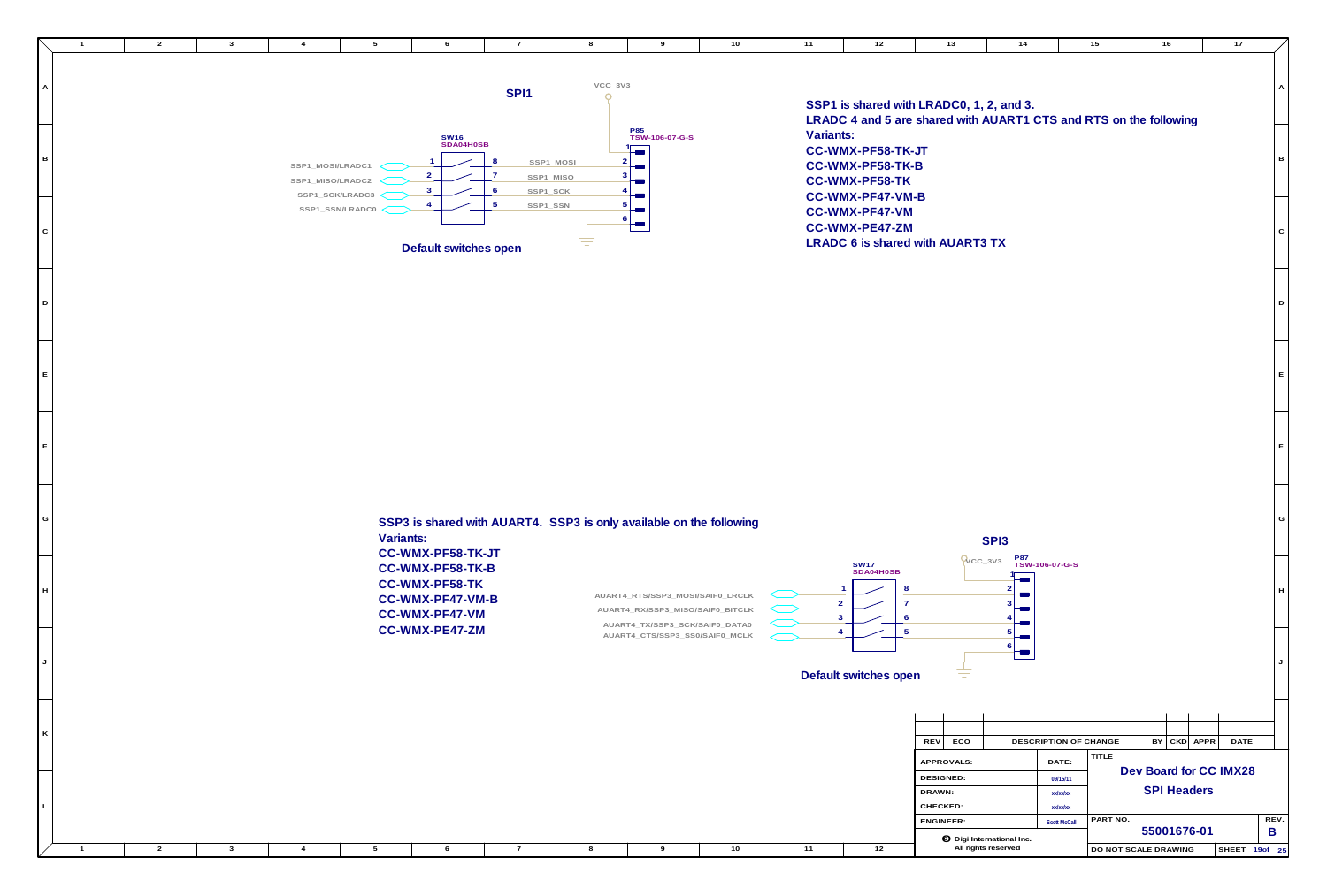**G**

**E**

**F**

**D**

**E**

**F**

**D**

**C**

**B**

**A**

**L**

**K**

**J**

**H**





## **AUART4\_CTS/SSP3\_SS0/SAIF0\_MCLK AUART4\_TX/SSP3\_SCK/SAIF0\_DATA0 AUART4\_RX/SSP3\_MISO/SAIF0\_BITCLK AUART4\_RTS/SSP3\_MOSI/SAIF0\_LRCLK SSP3 is shared with AUART4. SSP3 is only available on the following Variants: CC-WMX-PF58-TK-JT CC-WMX-PF58-TK-B CC-WMX-PF58-TK CC-WMX-PF47-VM-B CC-WMX-PF47-VM CC-WMX-PE47-ZM**

**SHEET 19 of 25**

**SSP1 is shared with LRADC0, 1, 2, and 3. LRADC 4 and 5 are shared with AUART1 CTS and RTS on the following**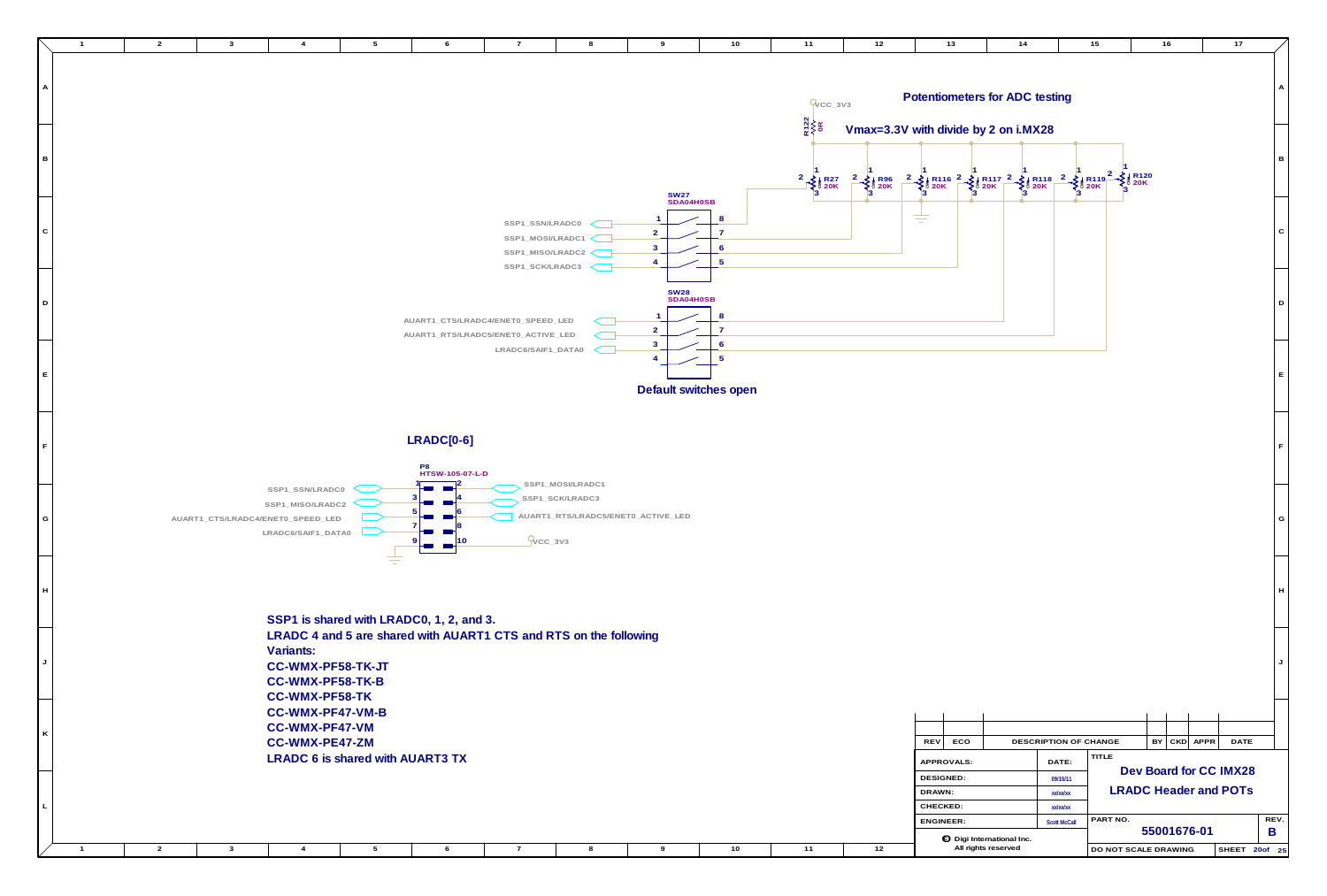

| 10   | $11$                                                  | $12$                                           | $13$                                                 | 14                                                      |                                           | 15                   | 16                 |          | $17$                                                   |             |
|------|-------------------------------------------------------|------------------------------------------------|------------------------------------------------------|---------------------------------------------------------|-------------------------------------------|----------------------|--------------------|----------|--------------------------------------------------------|-------------|
|      | $Q_{\text{CC_3V3}}$<br>R122<br>VVV<br>0R              |                                                | Potentiometers for ADC testing                       |                                                         |                                           |                      |                    |          |                                                        | Α           |
|      | $\begin{matrix} 2 \\ -2 \\ 3 \end{matrix}$ + R27<br>3 | $\begin{array}{r} 2 \\ 3 \end{array}$ R96<br>3 | Vmax=3.3V with divide by 2 on i.MX28                 |                                                         |                                           | 2<br>3               | R120<br> <br>  20K |          |                                                        | B           |
|      |                                                       |                                                |                                                      |                                                         |                                           |                      |                    |          |                                                        | ${\bf C}$   |
|      |                                                       |                                                |                                                      |                                                         |                                           |                      |                    |          |                                                        | $\mathsf D$ |
| open |                                                       |                                                |                                                      |                                                         |                                           |                      |                    |          |                                                        | $\mathsf E$ |
|      |                                                       |                                                |                                                      |                                                         |                                           |                      |                    |          |                                                        | $\mathsf F$ |
|      |                                                       |                                                |                                                      |                                                         |                                           |                      |                    |          |                                                        | G           |
|      |                                                       |                                                |                                                      |                                                         |                                           |                      |                    |          |                                                        | H           |
|      |                                                       |                                                |                                                      |                                                         |                                           |                      |                    |          |                                                        | J           |
|      |                                                       |                                                | ECO<br>REV                                           |                                                         | DESCRIPTION OF CHANGE                     |                      | BY                 | CKD APPR | DATE                                                   |             |
|      |                                                       |                                                | APPROVALS:<br><b>DESIGNED:</b><br>DRAWN:<br>CHECKED: |                                                         | DATE:<br>09/15/11<br>xx/xx/xx<br>xx/xx/xx | TITLE                |                    |          | Dev Board for CC IMX28<br><b>LRADC Header and POTs</b> |             |
| 10   | $11$                                                  | $12$                                           | ENGINEER:                                            | <b>O</b> Digi International Inc.<br>All rights reserved | <b>Scott McCall</b>                       | PART NO.             | 55001676-01        |          | SHEET 20of 25                                          | REV.<br>B   |
|      |                                                       |                                                |                                                      |                                                         |                                           | DO NOT SCALE DRAWING |                    |          |                                                        |             |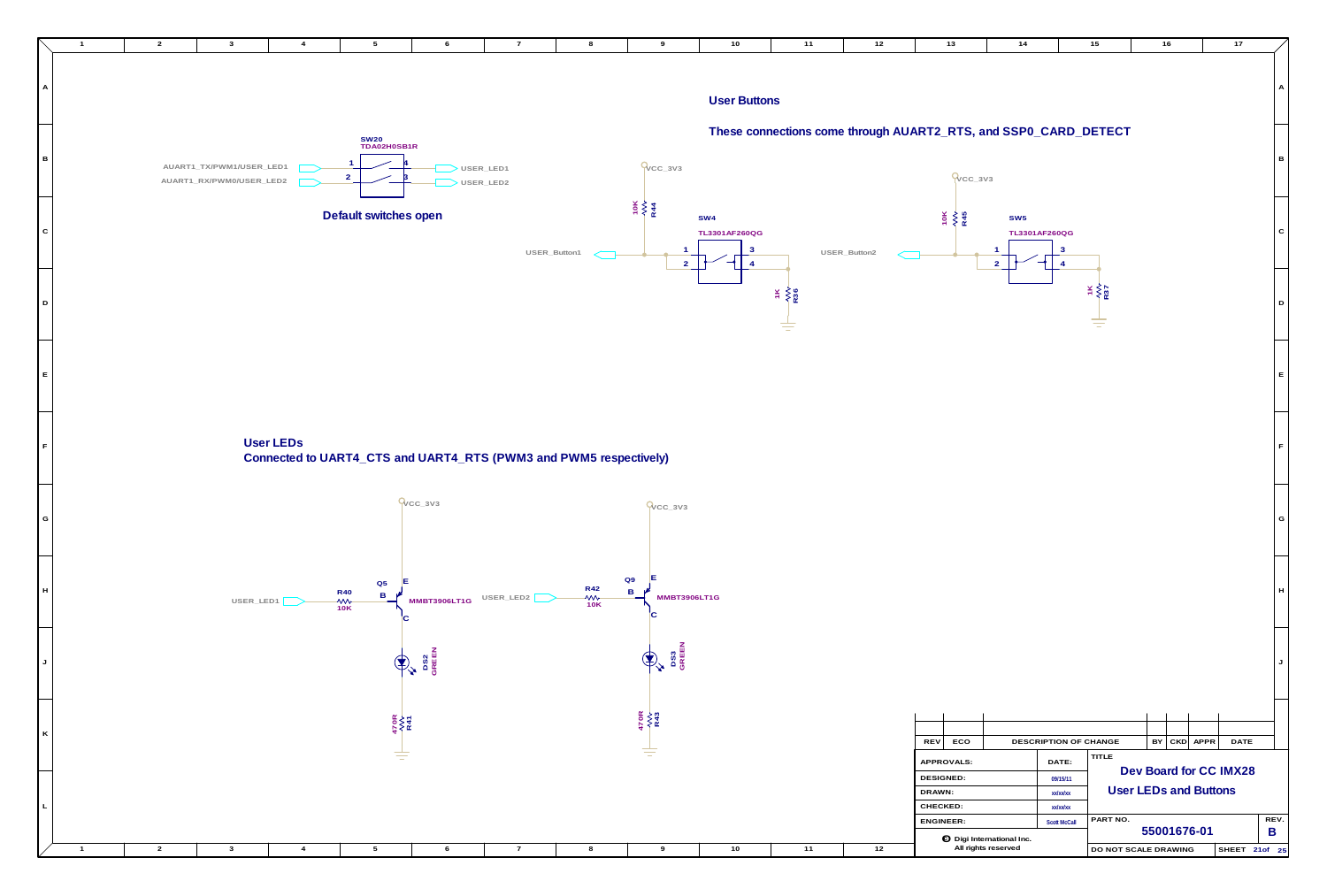

**E**

**G**

**F**

**D**

**C**

**B**

**A**

**J**

**H**

| <b>REV</b>       | ECO        |                         | <b>DESCRIPTION OF CHANGE</b> |                                 | BY | CKD | APPR        | <b>DATE</b>  |                  |                 |  |
|------------------|------------|-------------------------|------------------------------|---------------------------------|----|-----|-------------|--------------|------------------|-----------------|--|
|                  | APPROVALS: |                         | DATE:                        | TITLE<br>Dev Board for CC IMX28 |    |     |             |              |                  |                 |  |
| DESIGNED:        |            |                         | 09/15/11                     |                                 |    |     |             |              |                  |                 |  |
| DRAWN:           |            |                         | xx/xx/xx                     | <b>User LEDs and Buttons</b>    |    |     |             |              |                  |                 |  |
| CHECKED:         |            |                         | xx/xx/xx                     |                                 |    |     |             |              |                  |                 |  |
| <b>ENGINEER:</b> |            |                         | <b>Scott McCall</b>          | REV.<br>PART NO.                |    |     |             |              |                  |                 |  |
|                  | $\odot$    | Digi International Inc. |                              |                                 |    |     | 55001676-01 |              | B                |                 |  |
|                  |            | All rights reserved     |                              | DO NOT SCALE DRAWING            |    |     |             | <b>SHEET</b> | 21 <sub>of</sub> | 25 <sub>1</sub> |  |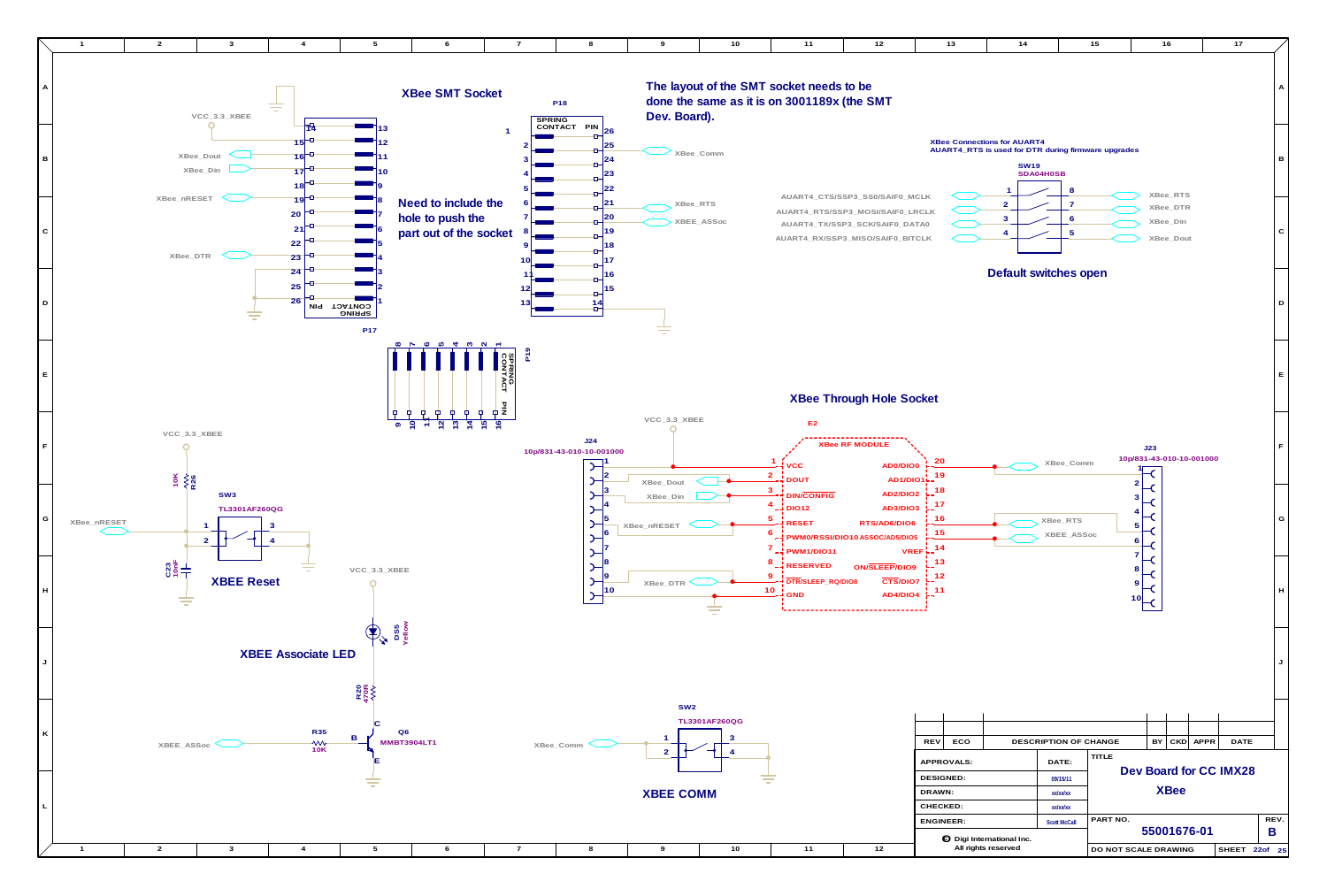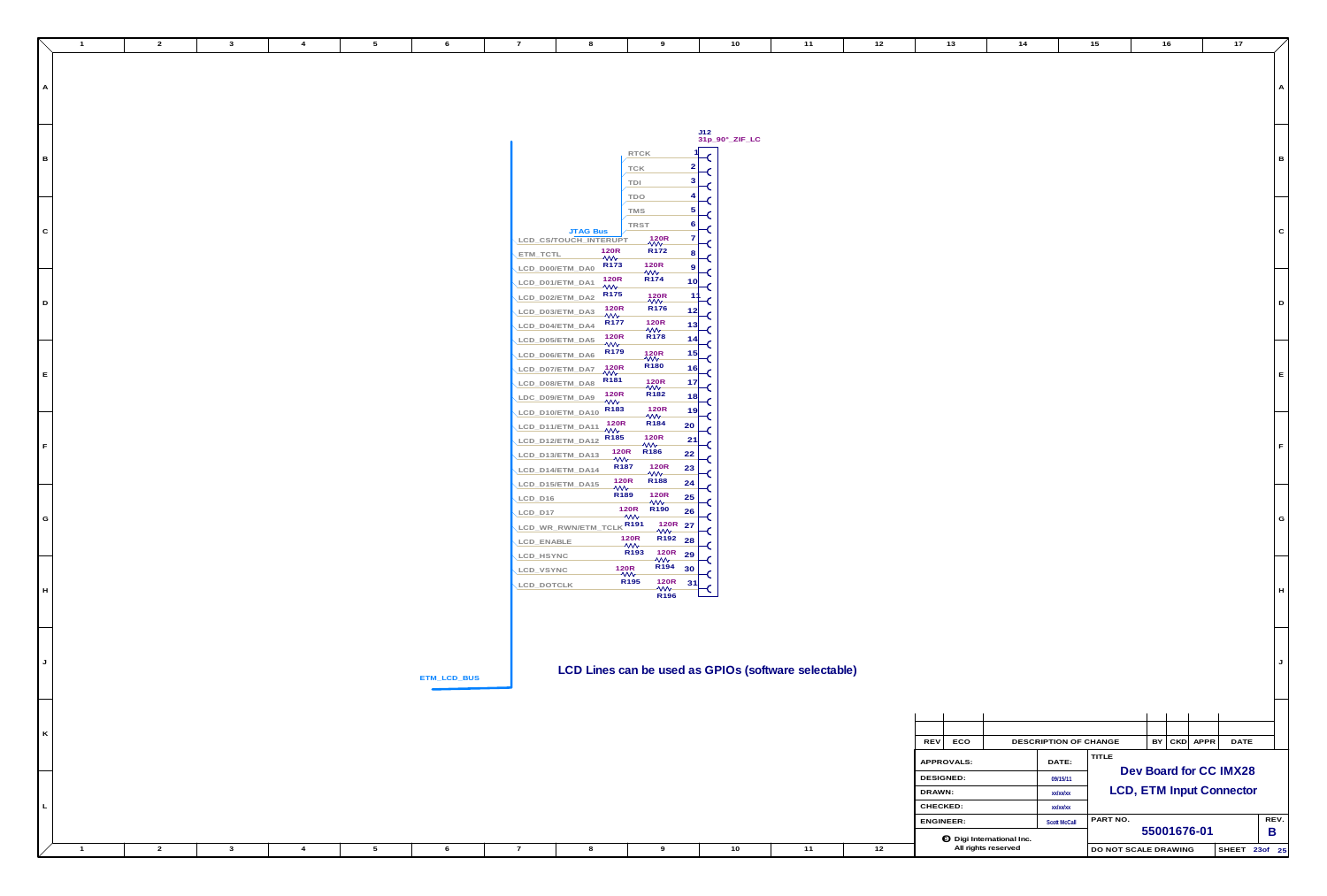**ETM\_LCD\_BUS**

**G**

**E**

**B**

| A |  |  |  |  |  |  |  |  |
|---|--|--|--|--|--|--|--|--|

**F**

**C**

**D**

|                          |                                  |                                |    | J12<br>31p_90°_ZIF_LC |
|--------------------------|----------------------------------|--------------------------------|----|-----------------------|
|                          | <b>RTCK</b>                      |                                | 1  |                       |
|                          | <b>TCK</b>                       |                                | 2  | C                     |
|                          | TDI                              |                                | 3  | ٢                     |
|                          | <b>TDO</b>                       |                                | 4  | C                     |
|                          |                                  |                                | 5  | ٢                     |
|                          | TMS                              |                                |    | r                     |
| <b>JTAG Bus</b>          | <b>TRST</b>                      |                                | 6  | ٢                     |
| LCD CS/TOUCH INTERUPT    |                                  | 120R<br>₩                      | 7  | C                     |
| ETM TCTL                 | 120 <sub>R</sub><br>$\mathsf{w}$ | R <sub>172</sub>               | 8  | ٢                     |
| LCD D00/ETM DA0          | R <sub>173</sub>                 | 120R<br>₩                      | 9  |                       |
| LCD_D01/ETM_DA1          | 120R<br>₩                        | R <sub>174</sub>               | 10 |                       |
| LCD D02/ETM DA2          | R <sub>175</sub>                 | 120R<br>₩                      | 1  |                       |
| LCD_D03/ETM_DA3          | 120R                             | R <sub>176</sub>               | 12 |                       |
| LCD D04/ETM DA4          | W∿<br>R <sub>177</sub>           | <b>120R</b>                    | 13 |                       |
| LCD D05/ETM DA5          | 120R                             | ₩<br>R <sub>178</sub>          | 14 |                       |
|                          | ₩<br>R <sub>179</sub>            |                                | 15 |                       |
| LCD_D06/ETM_DA6          | 120R                             | 120R<br>WV<br>R <sub>180</sub> |    |                       |
| LCD D07/ETM DA7          | w<br>R <sub>181</sub>            |                                | 16 | ٢                     |
| LCD D08/ETM DA8          |                                  | 120R<br>VV                     | 17 |                       |
| LDC_D09/ETM_DA9          | 120R<br>⇜                        | R <sub>182</sub>               | 18 | ٢                     |
| LCD D10/ETM DA10         | R <sub>183</sub>                 | 120R<br>₩                      | 19 | C                     |
| LCD D11/ETM DA11         | 120R<br>w                        | R <sub>184</sub>               | 20 | C                     |
| LCD_D12/ETM_DA12         | R <sub>185</sub>                 | 120R<br>w                      | 21 | ٢                     |
| LCD_D13/ETM_DA13         | 120R                             | R186                           | 22 |                       |
| LCD D14/ETM DA14         | ₩<br>R <sub>187</sub>            | 120R                           | 23 | C                     |
| LCD_D15/ETM_DA15         | 120R                             | ₩<br>R <sub>188</sub>          | 24 | C                     |
|                          | ₩<br>R <sub>189</sub>            | 120R                           | 25 | C                     |
| LCD D16                  | 120R                             | ₩<br>R <sub>190</sub>          |    | ٢                     |
| LCD D17                  | ₩                                | 120R                           | 26 | C                     |
| LCD_WR_RWN/ETM_TCLK R191 |                                  | ₩                              | 27 | C                     |
| LCD ENABLE               | <b>120R</b><br>₩                 | R <sub>192</sub>               | 28 | C                     |
| LCD HSYNC                | R <sub>193</sub>                 | <b>120R</b><br>₩               | 29 | C                     |
| LCD_VSYNC                | 120R                             | R <sub>194</sub>               | 30 | C                     |
| <b>LCD DOTCLK</b>        | R <sub>195</sub>                 | 120R<br>₩                      | 31 | C                     |
|                          |                                  | R196                           |    |                       |

|  |  |  |  |  |  | - - -<br>$\sim$ anomatoma mo. |                               |
|--|--|--|--|--|--|-------------------------------|-------------------------------|
|  |  |  |  |  |  | $\sim$ 11<br>.<br>`s reserve. | <b>I DO NOT SCALE DRAWING</b> |

**L**

**K**

**J**

**H**

| $ZIF$ <sub>-LC</sub><br>J<br>Os (software selectable)<br>CKD APPR<br>REV<br>${\sf ECO}$<br>DESCRIPTION OF CHANGE<br>BY<br>DATE<br>TITLE<br>APPROVALS:<br>DATE:<br>Dev Board for CC IMX28<br><b>DESIGNED:</b><br>09/15/11<br><b>LCD, ETM Input Connector</b><br>DRAWN:<br>xx/xx/xx<br>CHECKED:<br>xx/xx/xx<br>PART NO.<br>ENGINEER:<br><b>Scott McCall</b><br>55001676-01<br>B<br><b>O</b> Digi International Inc.<br>$11$<br>$12$<br>All rights reserved<br>$10\,$<br>DO NOT SCALE DRAWING<br>SHEET 23of 25 | 10 | $11$ | $12$ | $13\,$ | $14$ | $15\,$ | 16 |  |  | $17$ |                           |
|-------------------------------------------------------------------------------------------------------------------------------------------------------------------------------------------------------------------------------------------------------------------------------------------------------------------------------------------------------------------------------------------------------------------------------------------------------------------------------------------------------------|----|------|------|--------|------|--------|----|--|--|------|---------------------------|
|                                                                                                                                                                                                                                                                                                                                                                                                                                                                                                             |    |      |      |        |      |        |    |  |  |      | $\mathsf{A}$              |
|                                                                                                                                                                                                                                                                                                                                                                                                                                                                                                             |    |      |      |        |      |        |    |  |  |      | $\, {\bf B}$              |
|                                                                                                                                                                                                                                                                                                                                                                                                                                                                                                             |    |      |      |        |      |        |    |  |  |      | $\mathbf C$               |
|                                                                                                                                                                                                                                                                                                                                                                                                                                                                                                             |    |      |      |        |      |        |    |  |  |      | $\mathsf D$               |
|                                                                                                                                                                                                                                                                                                                                                                                                                                                                                                             |    |      |      |        |      |        |    |  |  |      | $\mathsf E$               |
|                                                                                                                                                                                                                                                                                                                                                                                                                                                                                                             |    |      |      |        |      |        |    |  |  |      | $\mathsf F$               |
|                                                                                                                                                                                                                                                                                                                                                                                                                                                                                                             |    |      |      |        |      |        |    |  |  |      | G                         |
|                                                                                                                                                                                                                                                                                                                                                                                                                                                                                                             |    |      |      |        |      |        |    |  |  |      | $\boldsymbol{\mathsf{H}}$ |
|                                                                                                                                                                                                                                                                                                                                                                                                                                                                                                             |    |      |      |        |      |        |    |  |  |      |                           |
|                                                                                                                                                                                                                                                                                                                                                                                                                                                                                                             |    |      |      |        |      |        |    |  |  |      |                           |
|                                                                                                                                                                                                                                                                                                                                                                                                                                                                                                             |    |      |      |        |      |        |    |  |  |      |                           |
|                                                                                                                                                                                                                                                                                                                                                                                                                                                                                                             |    |      |      |        |      |        |    |  |  |      | REV.                      |

**LCD Lines can be used as GPIOs (software selectable)**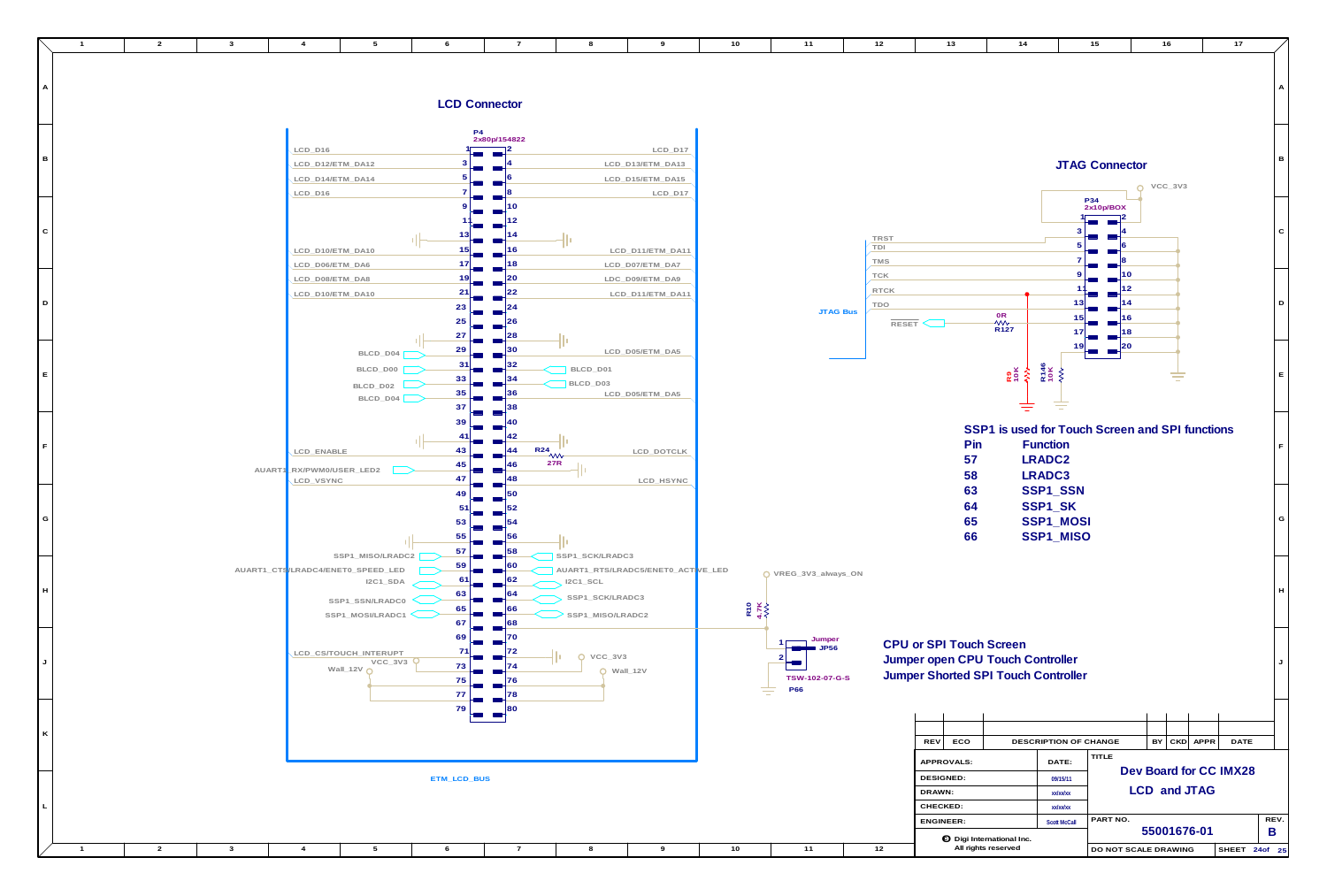**12**

**11**

**10**

|              | $\overline{1}$ | $\overline{2}$ | $\mathbf{3}$ | $\overline{4}$                                                                     | $5\overline{)}$                                                                                             | 6                                | $\overline{7}$       | 8                                                                                | 9                                                          | 10                 | 11                                                   | 12                               | 13                                                                                                               | 14                          |                                                         | 15<br>16                                      |
|--------------|----------------|----------------|--------------|------------------------------------------------------------------------------------|-------------------------------------------------------------------------------------------------------------|----------------------------------|----------------------|----------------------------------------------------------------------------------|------------------------------------------------------------|--------------------|------------------------------------------------------|----------------------------------|------------------------------------------------------------------------------------------------------------------|-----------------------------|---------------------------------------------------------|-----------------------------------------------|
| A            |                |                |              |                                                                                    |                                                                                                             |                                  | <b>LCD Connector</b> |                                                                                  |                                                            |                    |                                                      |                                  |                                                                                                                  |                             |                                                         |                                               |
| B            |                |                |              | LCD_D <sub>16</sub><br>LCD_D12/ETM_DA12<br>LCD_D14/ETM_DA14<br>LCD_D <sub>16</sub> |                                                                                                             |                                  | P4<br>2x80p/154822   |                                                                                  | LCD_D17<br>LCD_D13/ETM_DA13<br>LCD_D15/ETM_DA15<br>LCD_D17 |                    |                                                      |                                  |                                                                                                                  |                             |                                                         | <b>JTAG Connector</b><br>VCC                  |
| $\mathbf C$  |                |                |              | LCD_D10/ETM_DA10                                                                   |                                                                                                             |                                  |                      |                                                                                  | LCD_D11/ETM_DA11                                           |                    |                                                      | TRST<br>TDI<br>TMS               |                                                                                                                  |                             |                                                         | P34<br>2x10p/BOX                              |
| D            |                |                |              | LCD_D06/ETM_DA6<br>LCD_D08/ETM_DA8<br>LCD_D10/ETM_DA10                             |                                                                                                             | 23<br>25                         | 18                   |                                                                                  | LCD_D07/ETM_DA7<br>LDC_D09/ETM_DA9<br>LCD_D11/ETM_DA11     |                    | <b>JTAG Bus</b>                                      | <b>TCK</b><br><b>RTCK</b><br>TDO | RESET                                                                                                            | 0R<br>^W<br>R127            |                                                         |                                               |
| E            |                |                |              |                                                                                    | BLCD_D04<br>BLCD_D00<br>BLCD_D02<br>BLCD_D04                                                                | 27<br>29<br>31<br>33<br>35       |                      | BLCD_D01<br>$\overline{\phantom{a}}$ BLCD_D03                                    | LCD_D05/ETM_DA5<br>LCD_D05/ETM_DA5                         |                    |                                                      |                                  |                                                                                                                  | ROK<br>1942<br>1944<br>1952 |                                                         |                                               |
| IF.          |                |                |              | LCD_ENABLE<br>AUART1_RX/PWM0/USER_LED2                                             |                                                                                                             | 37<br>43<br>45                   |                      | $\begin{array}{c}\n\overline{R24} \\ \overline{27R}\n\end{array}$                | LCD_DOTCLK                                                 |                    |                                                      |                                  | Pin<br>57<br>58                                                                                                  | $\equiv$                    | <b>Function</b><br>LRADC2<br>LRADC3                     | SSP1 is used for Touch Screen and S           |
| G            |                |                |              | LCD_VSYNC                                                                          |                                                                                                             | 47<br>49<br>53                   |                      |                                                                                  | LCD_HSYNC                                                  |                    |                                                      |                                  | 63<br>64<br>65<br>66                                                                                             |                             | SSP1_SSN<br>SSP1_SK<br>SSP1_MOSI<br>SSP1_MISO           |                                               |
| H            |                |                |              |                                                                                    | SSP1_MISO/LRADC2<br>AUART1_CTS/LRADC4/ENET0_SPEED_LED<br>$IZC1$ _SDA<br>SSP1_SSN/LRADC0<br>SSP1_MOSI/LRADC1 | 57<br>59<br>61<br>63<br>65<br>67 |                      | SSP1_SCK/LRADC3<br>$12C1$ <sub>-SCL</sub><br>SSP1_SCK/LRADC3<br>SSP1_MISO/LRADC2 | AUART1_RTS/LRADC5/ENET0_ACTVE_LED                          | <b>R10</b><br>4.7K | O VREG_3V3_always_ON                                 |                                  |                                                                                                                  |                             |                                                         |                                               |
| J            |                |                |              |                                                                                    | LCD_CS/TOUCH_INTERUPT<br>$VCC_3V3$ <sup>Q</sup><br>Wall_12V $\Omega$                                        | 69<br>71<br>73<br>75<br>77       |                      | $Q$ VCC_3V3                                                                      | $Q$ Wall_12V                                               |                    | Jumper<br><b>P56</b><br>TSW-102-07-G-S<br><b>P66</b> |                                  | <b>CPU or SPI Touch Screen</b><br>Jumper open CPU Touch Controller<br><b>Jumper Shorted SPI Touch Controller</b> |                             |                                                         |                                               |
| $\mathsf{K}$ |                |                |              |                                                                                    |                                                                                                             | 79                               |                      |                                                                                  |                                                            |                    |                                                      |                                  | ECO<br><b>REV</b><br>APPROVALS:                                                                                  |                             | DESCRIPTION OF CHANGE<br>DATE:                          | BY<br>TITLE                                   |
| $\mathsf{L}$ |                |                |              |                                                                                    |                                                                                                             | ETM_LCD_BUS                      |                      |                                                                                  |                                                            |                    |                                                      |                                  | DESIGNED:<br>DRAWN:<br>CHECKED:<br>ENGINEER:                                                                     |                             | 09/15/11<br>xx/xx/xx<br>xx/xx/xx<br><b>Scott McCall</b> | <b>Dev Boar</b><br>LCD ar<br>PART NO.<br>5500 |
|              |                |                |              |                                                                                    |                                                                                                             |                                  |                      |                                                                                  |                                                            |                    |                                                      |                                  |                                                                                                                  | to Digi International Inc.  |                                                         |                                               |

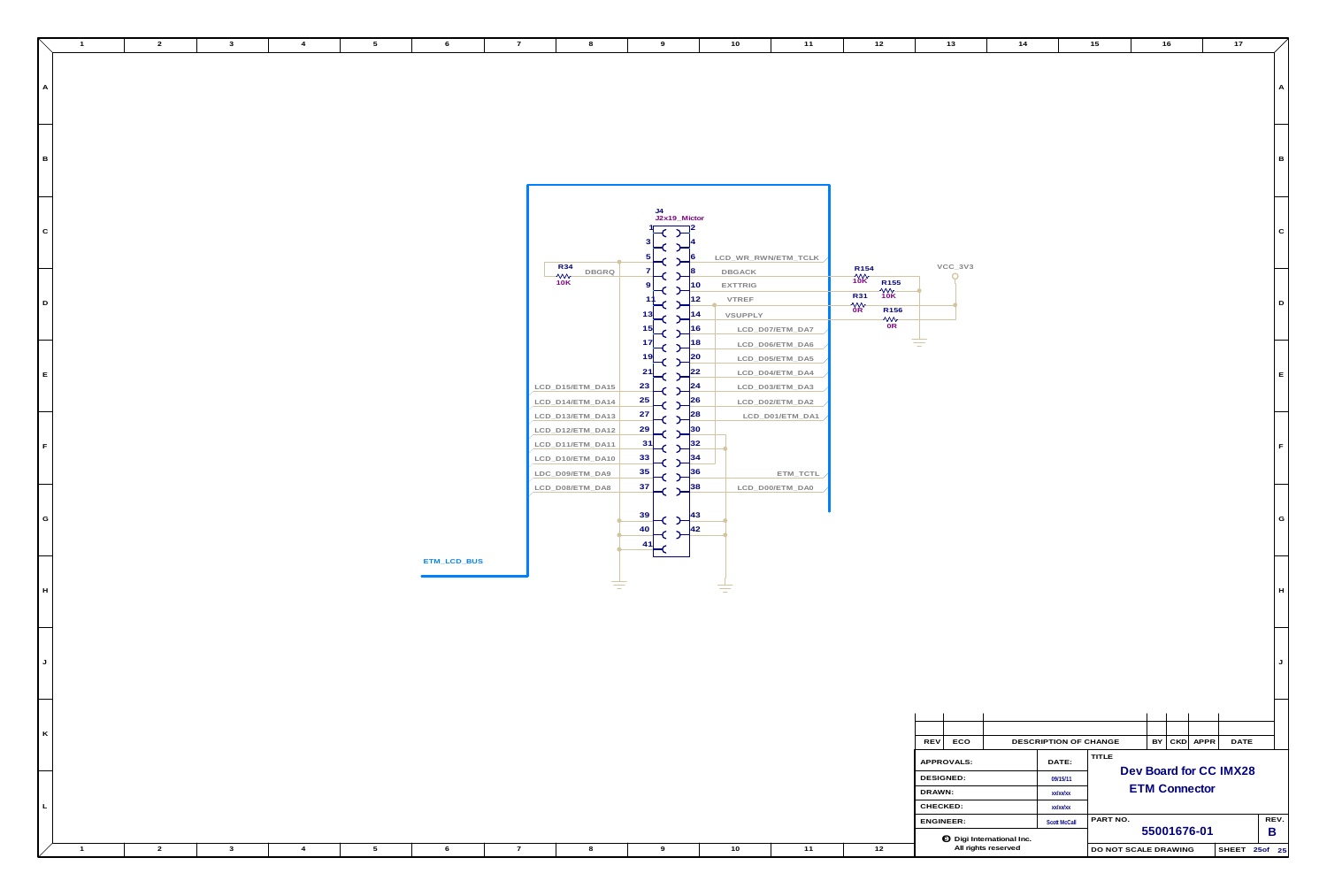|              | $\overline{1}$ | $\overline{2}$ | $\mathbf{3}$ | $\overline{4}$ | $5^{\circ}$     | 6           | $\overline{7}$ | 8                          | 9                                                           | 10                                                   | 11                  | 12                                   | 13                                                      | 14                    | 15<br>16               | 17            |
|--------------|----------------|----------------|--------------|----------------|-----------------|-------------|----------------|----------------------------|-------------------------------------------------------------|------------------------------------------------------|---------------------|--------------------------------------|---------------------------------------------------------|-----------------------|------------------------|---------------|
|              |                |                |              |                |                 |             |                |                            |                                                             |                                                      |                     |                                      |                                                         |                       |                        |               |
|              |                |                |              |                |                 |             |                |                            |                                                             |                                                      |                     |                                      |                                                         |                       |                        |               |
|              |                |                |              |                |                 |             |                |                            |                                                             |                                                      |                     |                                      |                                                         |                       |                        |               |
|              |                |                |              |                |                 |             |                |                            |                                                             |                                                      |                     |                                      |                                                         |                       |                        |               |
| $\mathsf{A}$ |                |                |              |                |                 |             |                |                            |                                                             |                                                      |                     |                                      |                                                         |                       |                        |               |
|              |                |                |              |                |                 |             |                |                            |                                                             |                                                      |                     |                                      |                                                         |                       |                        |               |
|              |                |                |              |                |                 |             |                |                            |                                                             |                                                      |                     |                                      |                                                         |                       |                        |               |
|              |                |                |              |                |                 |             |                |                            |                                                             |                                                      |                     |                                      |                                                         |                       |                        |               |
|              |                |                |              |                |                 |             |                |                            |                                                             |                                                      |                     |                                      |                                                         |                       |                        |               |
|              |                |                |              |                |                 |             |                |                            |                                                             |                                                      |                     |                                      |                                                         |                       |                        |               |
|              |                |                |              |                |                 |             |                |                            |                                                             |                                                      |                     |                                      |                                                         |                       |                        |               |
| $\vert$ B    |                |                |              |                |                 |             |                |                            |                                                             |                                                      |                     |                                      |                                                         |                       |                        |               |
|              |                |                |              |                |                 |             |                |                            |                                                             |                                                      |                     |                                      |                                                         |                       |                        |               |
|              |                |                |              |                |                 |             |                |                            |                                                             |                                                      |                     |                                      |                                                         |                       |                        |               |
|              |                |                |              |                |                 |             |                |                            |                                                             |                                                      |                     |                                      |                                                         |                       |                        |               |
|              |                |                |              |                |                 |             |                |                            |                                                             |                                                      |                     |                                      |                                                         |                       |                        |               |
|              |                |                |              |                |                 |             |                |                            | J4<br>J2x19_Mictor                                          |                                                      |                     |                                      |                                                         |                       |                        |               |
|              |                |                |              |                |                 |             |                |                            |                                                             |                                                      |                     |                                      |                                                         |                       |                        |               |
| $\circ$      |                |                |              |                |                 |             |                |                            |                                                             |                                                      |                     |                                      |                                                         |                       |                        |               |
|              |                |                |              |                |                 |             |                |                            |                                                             |                                                      |                     |                                      |                                                         |                       |                        |               |
|              |                |                |              |                |                 |             |                |                            |                                                             |                                                      |                     |                                      |                                                         |                       |                        |               |
|              |                |                |              |                |                 |             |                |                            |                                                             |                                                      | LCD_WR_RWN/ETM_TCLK |                                      |                                                         |                       |                        |               |
|              |                |                |              |                |                 |             |                | $R34 - Wv$<br>10K<br>DBGRQ |                                                             | DBGACK                                               |                     |                                      | $VCC_3V3$                                               |                       |                        |               |
|              |                |                |              |                |                 |             |                |                            |                                                             |                                                      |                     | $M + 10K$<br>10K<br>R <sub>155</sub> | $\Omega$                                                |                       |                        |               |
|              |                |                |              |                |                 |             |                |                            |                                                             | <b>EXTTRIG</b><br>10                                 |                     | $\frac{4}{10}$                       |                                                         |                       |                        |               |
| D            |                |                |              |                |                 |             |                |                            |                                                             | VTREF<br>12.                                         |                     | <b>R31</b>                           |                                                         |                       |                        | D             |
|              |                |                |              |                |                 |             |                |                            |                                                             |                                                      |                     | $\frac{MN}{OR}$<br>R <sub>156</sub>  |                                                         |                       |                        |               |
|              |                |                |              |                |                 |             |                |                            |                                                             | VSUPPLY<br>14.                                       |                     | $\frac{1}{10}$                       |                                                         |                       |                        |               |
|              |                |                |              |                |                 |             |                |                            |                                                             | 16                                                   | LCD_D07/ETM_DA7     |                                      |                                                         |                       |                        |               |
|              |                |                |              |                |                 |             |                |                            |                                                             |                                                      |                     |                                      |                                                         |                       |                        |               |
|              |                |                |              |                |                 |             |                |                            | $\vdash$ C<br>$\rightarrow$                                 | 18                                                   | LCD_D06/ETM_DA6     |                                      | ਵ                                                       |                       |                        |               |
|              |                |                |              |                |                 |             |                |                            | $19$ -C                                                     | $\frac{20}{2}$                                       | LCD_D05/ETM_DA5     |                                      |                                                         |                       |                        |               |
|              |                |                |              |                |                 |             |                |                            | 21                                                          | $ 22\rangle$                                         |                     |                                      |                                                         |                       |                        |               |
| E            |                |                |              |                |                 |             |                |                            |                                                             |                                                      | LCD_D04/ETM_DA4     |                                      |                                                         |                       |                        |               |
|              |                |                |              |                |                 |             |                | LCD_D15/ETM_DA15           | $\frac{23}{1}$ $\left  \left( \right. \right) \right ^{24}$ |                                                      | LCD_D03/ETM_DA3     |                                      |                                                         |                       |                        |               |
|              |                |                |              |                |                 |             |                |                            |                                                             | 26                                                   |                     |                                      |                                                         |                       |                        |               |
|              |                |                |              |                |                 |             |                | LCD_D14/ETM_DA14           | $\frac{25}{\epsilon}$                                       |                                                      | LCD_D02/ETM_DA2     |                                      |                                                         |                       |                        |               |
|              |                |                |              |                |                 |             |                | LCD_D13/ETM_DA13           | $\frac{27}{\epsilon}$                                       | $\epsilon$ $2^{\frac{28}{5}}$                        | LCD_D01/ETM_DA1     |                                      |                                                         |                       |                        |               |
|              |                |                |              |                |                 |             |                | LCD_D12/ETM_DA12           | $\frac{29}{\epsilon}$                                       | $ 30\rangle$                                         |                     |                                      |                                                         |                       |                        |               |
|              |                |                |              |                |                 |             |                |                            |                                                             |                                                      |                     |                                      |                                                         |                       |                        |               |
|              |                |                |              |                |                 |             |                | LCD_D11/ETM_DA11           | $\frac{31}{\epsilon}$<br>$\rightarrow$                      | 32                                                   |                     |                                      |                                                         |                       |                        |               |
|              |                |                |              |                |                 |             |                | LCD_D10/ETM_DA10           | $\frac{33}{\sqrt{2}}$                                       |                                                      |                     |                                      |                                                         |                       |                        |               |
|              |                |                |              |                |                 |             |                |                            |                                                             |                                                      |                     |                                      |                                                         |                       |                        |               |
|              |                |                |              |                |                 |             |                | LDC_D09/ETM_DA9            | $\frac{35}{1}$ $\left  \frac{1}{2} \right $                 | $\begin{array}{c c} \text{ } & \text{ } \end{array}$ | ETM_TCTL            |                                      |                                                         |                       |                        |               |
|              |                |                |              |                |                 |             |                | LCD_D08/ETM_DA8            | $37$ $\leftarrow$ $38$                                      |                                                      | LCD_D00/ETM_DA0     |                                      |                                                         |                       |                        |               |
|              |                |                |              |                |                 |             |                |                            |                                                             |                                                      |                     |                                      |                                                         |                       |                        |               |
|              |                |                |              |                |                 |             |                |                            |                                                             |                                                      |                     |                                      |                                                         |                       |                        |               |
| $G \mid$     |                |                |              |                |                 |             |                |                            | 39                                                          |                                                      |                     |                                      |                                                         |                       |                        | G I           |
|              |                |                |              |                |                 |             |                |                            | 40                                                          |                                                      |                     |                                      |                                                         |                       |                        |               |
|              |                |                |              |                |                 |             |                |                            |                                                             |                                                      |                     |                                      |                                                         |                       |                        |               |
|              |                |                |              |                |                 |             |                |                            | 41                                                          |                                                      |                     |                                      |                                                         |                       |                        |               |
|              |                |                |              |                |                 |             |                |                            |                                                             |                                                      |                     |                                      |                                                         |                       |                        |               |
|              |                |                |              |                |                 | ETM_LCD_BUS |                |                            |                                                             |                                                      |                     |                                      |                                                         |                       |                        |               |
|              |                |                |              |                |                 |             |                |                            |                                                             |                                                      |                     |                                      |                                                         |                       |                        |               |
| H            |                |                |              |                |                 |             |                |                            | ₹                                                           | ≢                                                    |                     |                                      |                                                         |                       |                        |               |
|              |                |                |              |                |                 |             |                |                            |                                                             |                                                      |                     |                                      |                                                         |                       |                        |               |
|              |                |                |              |                |                 |             |                |                            |                                                             |                                                      |                     |                                      |                                                         |                       |                        |               |
|              |                |                |              |                |                 |             |                |                            |                                                             |                                                      |                     |                                      |                                                         |                       |                        |               |
|              |                |                |              |                |                 |             |                |                            |                                                             |                                                      |                     |                                      |                                                         |                       |                        |               |
|              |                |                |              |                |                 |             |                |                            |                                                             |                                                      |                     |                                      |                                                         |                       |                        |               |
|              |                |                |              |                |                 |             |                |                            |                                                             |                                                      |                     |                                      |                                                         |                       |                        |               |
|              |                |                |              |                |                 |             |                |                            |                                                             |                                                      |                     |                                      |                                                         |                       |                        |               |
| $J \mid$     |                |                |              |                |                 |             |                |                            |                                                             |                                                      |                     |                                      |                                                         |                       |                        |               |
|              |                |                |              |                |                 |             |                |                            |                                                             |                                                      |                     |                                      |                                                         |                       |                        |               |
|              |                |                |              |                |                 |             |                |                            |                                                             |                                                      |                     |                                      |                                                         |                       |                        |               |
|              |                |                |              |                |                 |             |                |                            |                                                             |                                                      |                     |                                      |                                                         |                       |                        |               |
|              |                |                |              |                |                 |             |                |                            |                                                             |                                                      |                     |                                      |                                                         |                       |                        |               |
|              |                |                |              |                |                 |             |                |                            |                                                             |                                                      |                     |                                      |                                                         |                       |                        |               |
|              |                |                |              |                |                 |             |                |                            |                                                             |                                                      |                     |                                      |                                                         |                       |                        |               |
| $\kappa$     |                |                |              |                |                 |             |                |                            |                                                             |                                                      |                     |                                      |                                                         |                       |                        |               |
|              |                |                |              |                |                 |             |                |                            |                                                             |                                                      |                     |                                      | REV ECO                                                 | DESCRIPTION OF CHANGE | $BY$ $CKD$ $APPR$      | <b>DATE</b>   |
|              |                |                |              |                |                 |             |                |                            |                                                             |                                                      |                     |                                      |                                                         |                       | TITLE                  |               |
|              |                |                |              |                |                 |             |                |                            |                                                             |                                                      |                     |                                      | APPROVALS:                                              | DATE:                 |                        |               |
|              |                |                |              |                |                 |             |                |                            |                                                             |                                                      |                     |                                      | DESIGNED:                                               |                       | Dev Board for CC IMX28 |               |
|              |                |                |              |                |                 |             |                |                            |                                                             |                                                      |                     |                                      |                                                         | 09/15/11              | <b>ETM Connector</b>   |               |
|              |                |                |              |                |                 |             |                |                            |                                                             |                                                      |                     |                                      | DRAWN:                                                  | xx/xx/xx              |                        |               |
|              |                |                |              |                |                 |             |                |                            |                                                             |                                                      |                     |                                      | CHECKED:                                                | xx/xx/xx              |                        |               |
|              |                |                |              |                |                 |             |                |                            |                                                             |                                                      |                     |                                      |                                                         |                       |                        |               |
|              |                |                |              |                |                 |             |                |                            |                                                             |                                                      |                     |                                      | ENGINEER:                                               | <b>Scott McCall</b>   | PART NO.               | REV.          |
|              |                |                |              |                |                 |             |                |                            |                                                             |                                                      |                     |                                      |                                                         |                       | 55001676-01            | $\mathsf B$   |
|              |                |                |              |                |                 |             |                |                            |                                                             |                                                      |                     |                                      | <b>O</b> Digi International Inc.<br>All rights reserved |                       |                        | SHEET 25of 25 |
|              | $\sim$ 1       | $\overline{2}$ | $\mathbf{3}$ | $\overline{4}$ | $5\overline{)}$ | 6           | $\overline{7}$ | 8                          | 9                                                           | 10                                                   | 11                  | 12                                   |                                                         |                       | DO NOT SCALE DRAWING   |               |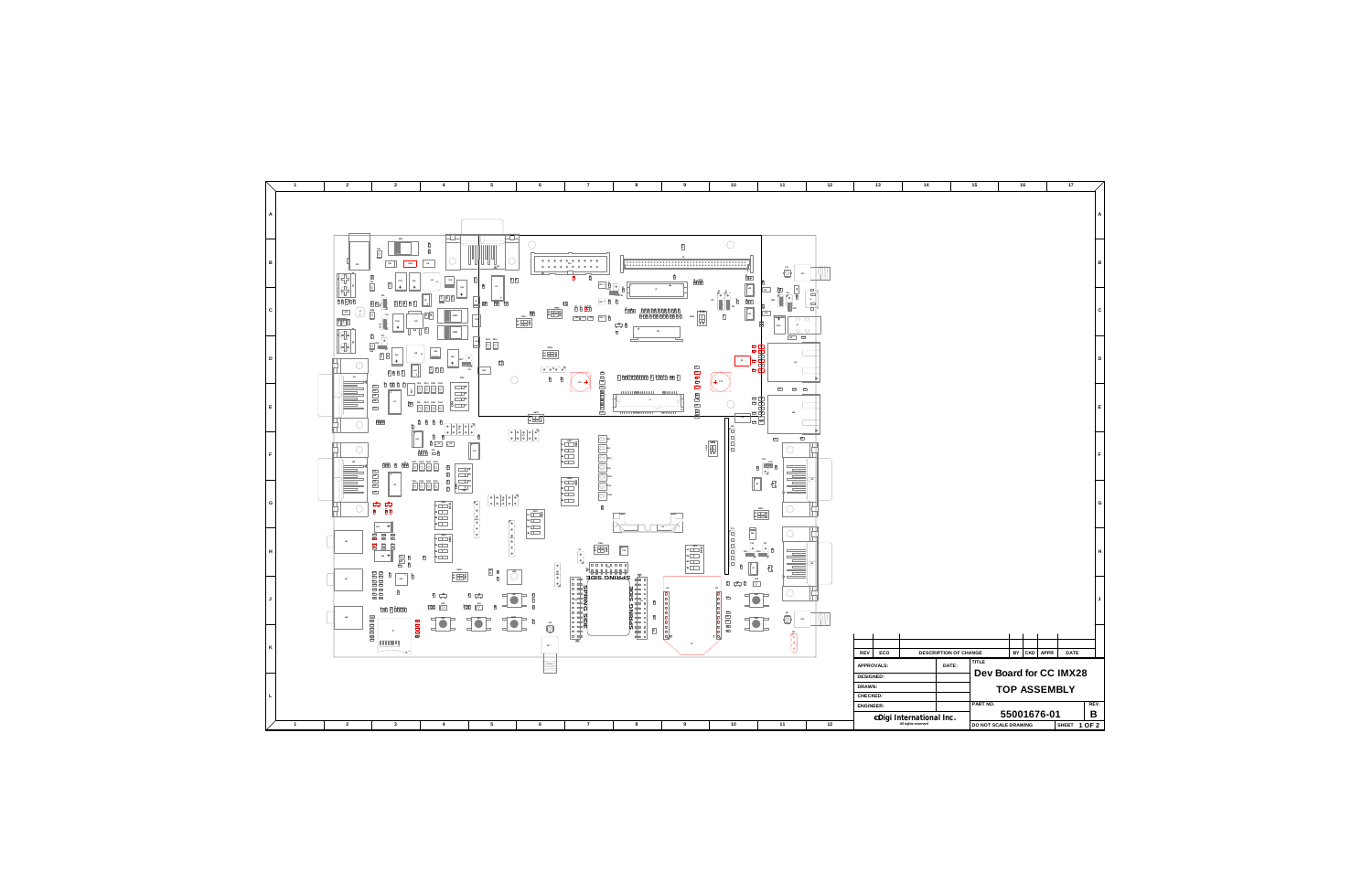